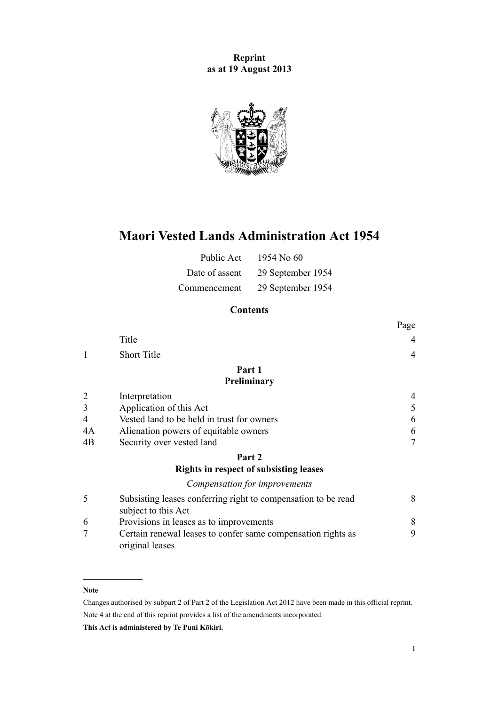**Reprint as at 19 August 2013**



# **Maori Vested Lands Administration Act 1954**

| Public Act     | 1954 No 60        |
|----------------|-------------------|
| Date of assent | 29 September 1954 |
| Commencement   | 29 September 1954 |

# **Contents**

|    |                                                                                      | Page           |
|----|--------------------------------------------------------------------------------------|----------------|
|    | Title                                                                                | $\overline{4}$ |
|    | <b>Short Title</b>                                                                   | $\overline{4}$ |
|    | Part 1                                                                               |                |
|    | Preliminary                                                                          |                |
|    | Interpretation                                                                       | 4              |
| 3  | Application of this Act                                                              | 5              |
| 4  | Vested land to be held in trust for owners                                           | 6              |
| 4A | Alienation powers of equitable owners                                                | 6              |
| 4B | Security over vested land                                                            | $\tau$         |
|    | Part 2                                                                               |                |
|    | <b>Rights in respect of subsisting leases</b>                                        |                |
|    | Compensation for improvements                                                        |                |
| 5  | Subsisting leases conferring right to compensation to be read<br>subject to this Act | 8              |
| 6  | Provisions in leases as to improvements                                              | 8              |
|    | Certain renewal leases to confer same compensation rights as<br>original leases      | 9              |

# **Note**

Changes authorised by [subpart 2](http://prd-lgnz-nlb.prd.pco.net.nz/pdflink.aspx?id=DLM2998524) of Part 2 of the Legislation Act 2012 have been made in this official reprint. Note 4 at the end of this reprint provides a list of the amendments incorporated.

**This Act is administered by Te Puni Kōkiri.**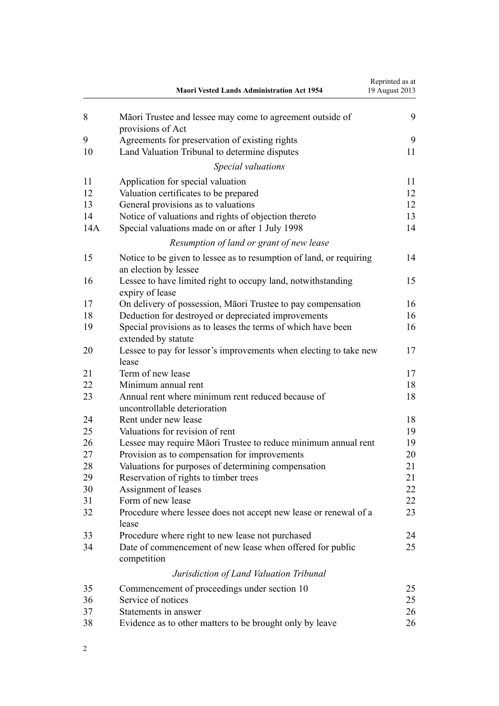|     | <b>Maori Vested Lands Administration Act 1954</b>                                            | Reprinted as at<br>19 August 2013 |
|-----|----------------------------------------------------------------------------------------------|-----------------------------------|
| 8   | Māori Trustee and lessee may come to agreement outside of<br>provisions of Act               | 9                                 |
| 9   | Agreements for preservation of existing rights                                               | 9                                 |
| 10  | Land Valuation Tribunal to determine disputes                                                | 11                                |
|     | Special valuations                                                                           |                                   |
| 11  | Application for special valuation                                                            | 11                                |
| 12  | Valuation certificates to be prepared                                                        | 12                                |
| 13  | General provisions as to valuations                                                          | 12                                |
| 14  | Notice of valuations and rights of objection thereto                                         | 13                                |
| 14A | Special valuations made on or after 1 July 1998                                              | 14                                |
|     | Resumption of land or grant of new lease                                                     |                                   |
| 15  | Notice to be given to lessee as to resumption of land, or requiring<br>an election by lessee | 14                                |
| 16  | Lessee to have limited right to occupy land, notwithstanding<br>expiry of lease              | 15                                |
| 17  | On delivery of possession, Māori Trustee to pay compensation                                 | 16                                |
| 18  | Deduction for destroyed or depreciated improvements                                          | 16                                |
| 19  | Special provisions as to leases the terms of which have been                                 | 16                                |
|     | extended by statute                                                                          |                                   |
| 20  | Lessee to pay for lessor's improvements when electing to take new<br>lease                   | 17                                |
| 21  | Term of new lease                                                                            | 17                                |
| 22  | Minimum annual rent                                                                          | 18                                |
| 23  | Annual rent where minimum rent reduced because of                                            | 18                                |
|     | uncontrollable deterioration                                                                 |                                   |
| 24  | Rent under new lease                                                                         | 18                                |
| 25  | Valuations for revision of rent                                                              | 19                                |
| 26  | Lessee may require Māori Trustee to reduce minimum annual rent                               | 19                                |
| 27  | Provision as to compensation for improvements                                                | 20                                |
| 28  | Valuations for purposes of determining compensation                                          | 21                                |
| 29  | Reservation of rights to timber trees                                                        | 21                                |
| 30  |                                                                                              | 22                                |
| 31  | Assignment of leases<br>Form of new lease                                                    | 22                                |
|     |                                                                                              |                                   |
| 32  | Procedure where lessee does not accept new lease or renewal of a<br>lease                    | 23                                |
| 33  | Procedure where right to new lease not purchased                                             | 24                                |
| 34  | Date of commencement of new lease when offered for public                                    | 25                                |
|     | competition                                                                                  |                                   |
|     | Jurisdiction of Land Valuation Tribunal                                                      |                                   |
| 35  | Commencement of proceedings under section 10                                                 | 25                                |
| 36  | Service of notices                                                                           | 25                                |
| 37  | Statements in answer                                                                         | 26                                |
| 38  | Evidence as to other matters to be brought only by leave                                     | 26                                |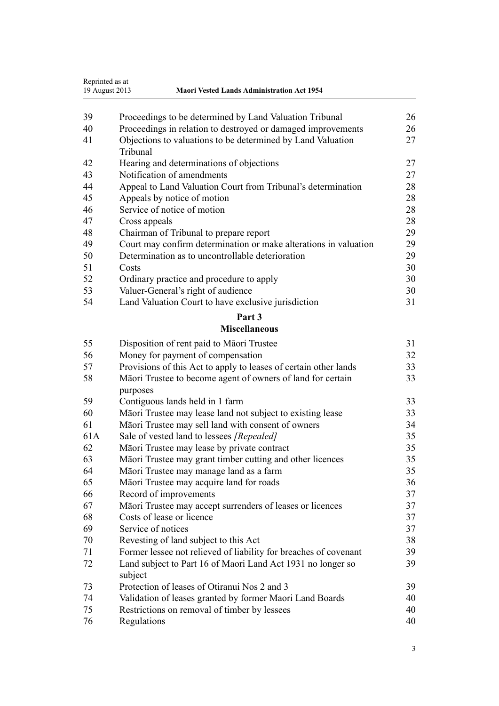| Reprinted as at<br>19 August 2013<br><b>Maori Vested Lands Administration Act 1954</b> |                                                                  |    |  |
|----------------------------------------------------------------------------------------|------------------------------------------------------------------|----|--|
| 39                                                                                     | Proceedings to be determined by Land Valuation Tribunal          | 26 |  |
| 40                                                                                     | Proceedings in relation to destroyed or damaged improvements     | 26 |  |
| 41                                                                                     | Objections to valuations to be determined by Land Valuation      | 27 |  |
|                                                                                        | Tribunal                                                         |    |  |
| 42                                                                                     | Hearing and determinations of objections                         | 27 |  |
| 43                                                                                     | Notification of amendments                                       | 27 |  |
| 44                                                                                     | Appeal to Land Valuation Court from Tribunal's determination     | 28 |  |
| 45                                                                                     | Appeals by notice of motion                                      | 28 |  |
| 46                                                                                     | Service of notice of motion                                      | 28 |  |
| 47                                                                                     | Cross appeals                                                    | 28 |  |
| 48                                                                                     | Chairman of Tribunal to prepare report                           | 29 |  |
| 49                                                                                     | Court may confirm determination or make alterations in valuation | 29 |  |
| 50                                                                                     | Determination as to uncontrollable deterioration                 | 29 |  |
| 51                                                                                     | Costs                                                            | 30 |  |
| 52                                                                                     | Ordinary practice and procedure to apply                         | 30 |  |
| 53                                                                                     | Valuer-General's right of audience                               | 30 |  |
| 54                                                                                     | Land Valuation Court to have exclusive jurisdiction              | 31 |  |
|                                                                                        | Part 3                                                           |    |  |
|                                                                                        | <b>Miscellaneous</b>                                             |    |  |
| 55                                                                                     | Disposition of rent paid to Māori Trustee                        | 31 |  |
| 56                                                                                     | Money for payment of compensation                                | 32 |  |
| 57                                                                                     | Provisions of this Act to apply to leases of certain other lands | 33 |  |
| 58                                                                                     | Māori Trustee to become agent of owners of land for certain      | 33 |  |
|                                                                                        | purposes                                                         |    |  |
| 59                                                                                     | Contiguous lands held in 1 farm                                  | 33 |  |
| 60                                                                                     | Māori Trustee may lease land not subject to existing lease       | 33 |  |
| 61                                                                                     | Māori Trustee may sell land with consent of owners               | 34 |  |
| 61A                                                                                    | Sale of vested land to lessees [Repealed]                        | 35 |  |
| 62                                                                                     | Māori Trustee may lease by private contract                      | 35 |  |
| 63                                                                                     | Māori Trustee may grant timber cutting and other licences        | 35 |  |
| 64                                                                                     | Māori Trustee may manage land as a farm                          | 35 |  |
| 65                                                                                     | Māori Trustee may acquire land for roads                         | 36 |  |
| 66                                                                                     | Record of improvements                                           | 37 |  |
| 67                                                                                     | Māori Trustee may accept surrenders of leases or licences        | 37 |  |
| 68                                                                                     | Costs of lease or licence                                        | 37 |  |
| 69                                                                                     | Service of notices                                               | 37 |  |
| 70                                                                                     | Revesting of land subject to this Act                            | 38 |  |
| 71                                                                                     | Former lessee not relieved of liability for breaches of covenant | 39 |  |
| 72                                                                                     | Land subject to Part 16 of Maori Land Act 1931 no longer so      | 39 |  |
|                                                                                        | subject                                                          |    |  |
| 73                                                                                     | Protection of leases of Otiranui Nos 2 and 3                     | 39 |  |
| 74                                                                                     | Validation of leases granted by former Maori Land Boards         | 40 |  |
| 75                                                                                     | Restrictions on removal of timber by lessees                     | 40 |  |
| 76                                                                                     | Regulations                                                      | 40 |  |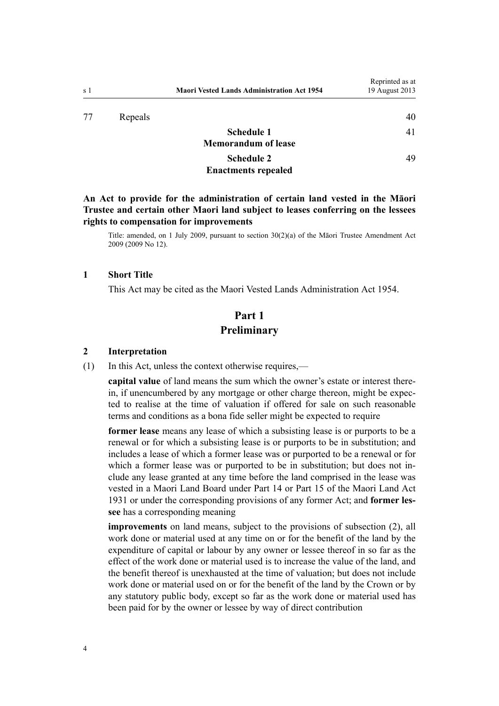# **[Schedule 1](#page-40-0) [Memorandum of lease](#page-40-0)**

### **[Schedule 2](#page-48-0) [Enactments repealed](#page-48-0)**

[49](#page-48-0)

# <span id="page-3-0"></span>**An Act to provide for the administration of certain land vested in the Māori Trustee and certain other Maori land subject to leases conferring on the lessees rights to compensation for improvements**

Title: amended, on 1 July 2009, pursuant to [section 30\(2\)\(a\)](http://prd-lgnz-nlb.prd.pco.net.nz/pdflink.aspx?id=DLM1583888) of the Māori Trustee Amendment Act 2009 (2009 No 12).

# **1 Short Title**

This Act may be cited as the Maori Vested Lands Administration Act 1954.

# **Part 1 Preliminary**

# **2 Interpretation**

(1) In this Act, unless the context otherwise requires,—

**capital value** of land means the sum which the owner's estate or interest therein, if unencumbered by any mortgage or other charge thereon, might be expected to realise at the time of valuation if offered for sale on such reasonable terms and conditions as a bona fide seller might be expected to require

**former lease** means any lease of which a subsisting lease is or purports to be a renewal or for which a subsisting lease is or purports to be in substitution; and includes a lease of which a former lease was or purported to be a renewal or for which a former lease was or purported to be in substitution; but does not include any lease granted at any time before the land comprised in the lease was vested in a Maori Land Board under Part 14 or Part 15 of the Maori Land Act 1931 or under the corresponding provisions of any former Act; and **former lessee** has a corresponding meaning

**improvements** on land means, subject to the provisions of subsection (2), all work done or material used at any time on or for the benefit of the land by the expenditure of capital or labour by any owner or lessee thereof in so far as the effect of the work done or material used is to increase the value of the land, and the benefit thereof is unexhausted at the time of valuation; but does not include work done or material used on or for the benefit of the land by the Crown or by any statutory public body, except so far as the work done or material used has been paid for by the owner or lessee by way of direct contribution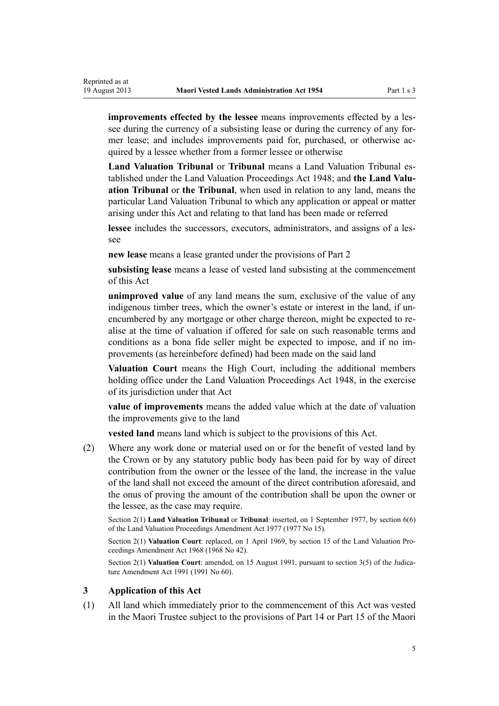<span id="page-4-0"></span>**improvements effected by the lessee** means improvements effected by a lessee during the currency of a subsisting lease or during the currency of any former lease; and includes improvements paid for, purchased, or otherwise acquired by a lessee whether from a former lessee or otherwise

**Land Valuation Tribunal** or **Tribunal** means a Land Valuation Tribunal established under the [Land Valuation Proceedings Act 1948;](http://prd-lgnz-nlb.prd.pco.net.nz/pdflink.aspx?id=DLM249212) and **the Land Valuation Tribunal** or **the Tribunal**, when used in relation to any land, means the particular Land Valuation Tribunal to which any application or appeal or matter arising under this Act and relating to that land has been made or referred

**lessee** includes the successors, executors, administrators, and assigns of a lessee

**new lease** means a lease granted under the provisions of [Part 2](#page-7-0)

**subsisting lease** means a lease of vested land subsisting at the commencement of this Act

**unimproved value** of any land means the sum, exclusive of the value of any indigenous timber trees, which the owner's estate or interest in the land, if unencumbered by any mortgage or other charge thereon, might be expected to realise at the time of valuation if offered for sale on such reasonable terms and conditions as a bona fide seller might be expected to impose, and if no improvements (as hereinbefore defined) had been made on the said land

**Valuation Court** means the High Court, including the additional members holding office under the [Land Valuation Proceedings Act 1948](http://prd-lgnz-nlb.prd.pco.net.nz/pdflink.aspx?id=DLM249212), in the exercise of its jurisdiction under that Act

**value of improvements** means the added value which at the date of valuation the improvements give to the land

**vested land** means land which is subject to the provisions of this Act.

(2) Where any work done or material used on or for the benefit of vested land by the Crown or by any statutory public body has been paid for by way of direct contribution from the owner or the lessee of the land, the increase in the value of the land shall not exceed the amount of the direct contribution aforesaid, and the onus of proving the amount of the contribution shall be upon the owner or the lessee, as the case may require.

Section 2(1) **Land Valuation Tribunal** or **Tribunal**: inserted, on 1 September 1977, by [section 6\(6\)](http://prd-lgnz-nlb.prd.pco.net.nz/pdflink.aspx?id=DLM442575) of the Land Valuation Proceedings Amendment Act 1977 (1977 No 15).

Section 2(1) **Valuation Court**: replaced, on 1 April 1969, by [section 15](http://prd-lgnz-nlb.prd.pco.net.nz/pdflink.aspx?id=DLM388248) of the Land Valuation Proceedings Amendment Act 1968 (1968 No 42).

Section 2(1) **Valuation Court**: amended, on 15 August 1991, pursuant to [section 3\(5\)](http://prd-lgnz-nlb.prd.pco.net.nz/pdflink.aspx?id=DLM230219) of the Judicature Amendment Act 1991 (1991 No 60).

### **3 Application of this Act**

(1) All land which immediately prior to the commencement of this Act was vested in the Maori Trustee subject to the provisions of Part 14 or Part 15 of the Maori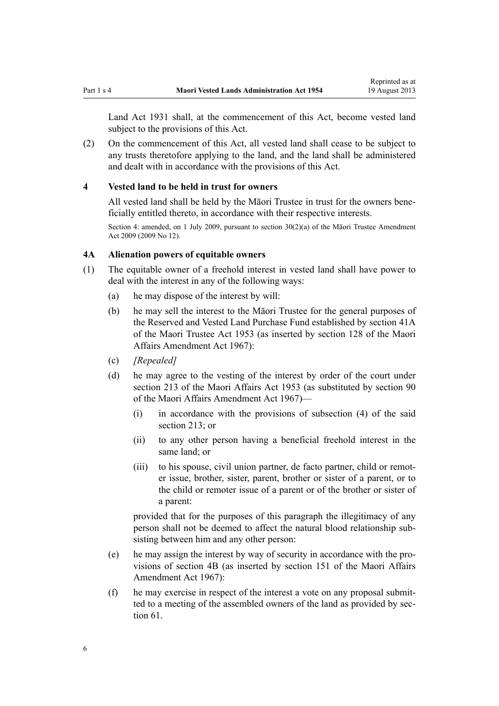<span id="page-5-0"></span>Land Act 1931 shall, at the commencement of this Act, become vested land subject to the provisions of this Act.

(2) On the commencement of this Act, all vested land shall cease to be subject to any trusts theretofore applying to the land, and the land shall be administered and dealt with in accordance with the provisions of this Act.

### **4 Vested land to be held in trust for owners**

All vested land shall be held by the Māori Trustee in trust for the owners beneficially entitled thereto, in accordance with their respective interests.

Section 4: amended, on 1 July 2009, pursuant to section  $30(2)(a)$  of the Māori Trustee Amendment Act 2009 (2009 No 12).

# **4A Alienation powers of equitable owners**

- (1) The equitable owner of a freehold interest in vested land shall have power to deal with the interest in any of the following ways:
	- (a) he may dispose of the interest by will:
	- (b) he may sell the interest to the Māori Trustee for the general purposes of the Reserved and Vested Land Purchase Fund established by [section 41A](http://prd-lgnz-nlb.prd.pco.net.nz/pdflink.aspx?id=DLM282917) of the Maori Trustee Act 1953 (as inserted by section 128 of the Maori Affairs Amendment Act 1967):
	- (c) *[Repealed]*
	- (d) he may agree to the vesting of the interest by order of the court under section 213 of the Maori Affairs Act 1953 (as substituted by section 90 of the Maori Affairs Amendment Act 1967)—
		- (i) in accordance with the provisions of subsection (4) of the said section 213; or
		- (ii) to any other person having a beneficial freehold interest in the same land; or
		- (iii) to his spouse, civil union partner, de facto partner, child or remoter issue, brother, sister, parent, brother or sister of a parent, or to the child or remoter issue of a parent or of the brother or sister of a parent:

provided that for the purposes of this paragraph the illegitimacy of any person shall not be deemed to affect the natural blood relationship subsisting between him and any other person:

- (e) he may assign the interest by way of security in accordance with the provisions of [section 4B](#page-6-0) (as inserted by section 151 of the Maori Affairs Amendment Act 1967):
- (f) he may exercise in respect of the interest a vote on any proposal submitted to a meeting of the assembled owners of the land as provided by [sec](#page-33-0)[tion 61](#page-33-0).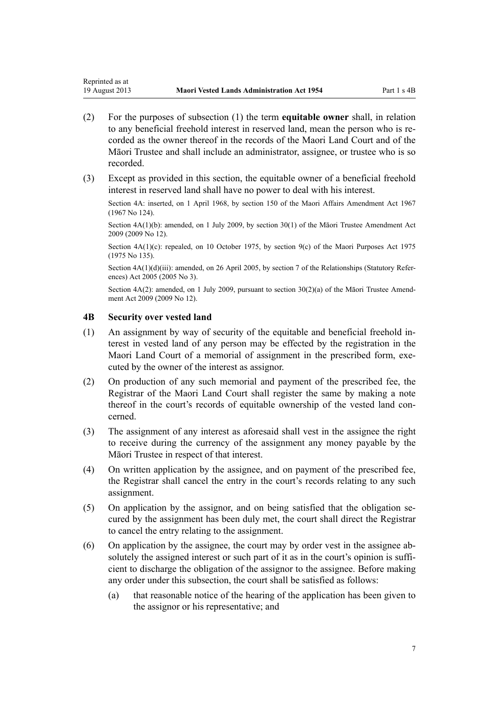- (2) For the purposes of subsection (1) the term **equitable owner** shall, in relation to any beneficial freehold interest in reserved land, mean the person who is recorded as the owner thereof in the records of the Maori Land Court and of the Māori Trustee and shall include an administrator, assignee, or trustee who is so recorded.
- (3) Except as provided in this section, the equitable owner of a beneficial freehold interest in reserved land shall have no power to deal with his interest.

Section 4A: inserted, on 1 April 1968, by section 150 of the Maori Affairs Amendment Act 1967 (1967 No 124).

Section 4A(1)(b): amended, on 1 July 2009, by [section 30\(1\)](http://prd-lgnz-nlb.prd.pco.net.nz/pdflink.aspx?id=DLM1583888) of the Māori Trustee Amendment Act 2009 (2009 No 12).

Section  $4A(1)(c)$ : repealed, on 10 October 1975, by [section 9\(c\)](http://prd-lgnz-nlb.prd.pco.net.nz/pdflink.aspx?id=DLM437759) of the Maori Purposes Act 1975 (1975 No 135).

Section  $4A(1)(d)(iii)$ : amended, on 26 April 2005, by [section 7](http://prd-lgnz-nlb.prd.pco.net.nz/pdflink.aspx?id=DLM333795) of the Relationships (Statutory References) Act 2005 (2005 No 3).

Section 4A(2): amended, on 1 July 2009, pursuant to [section 30\(2\)\(a\)](http://prd-lgnz-nlb.prd.pco.net.nz/pdflink.aspx?id=DLM1583888) of the Maori Trustee Amendment Act 2009 (2009 No 12).

# **4B Security over vested land**

<span id="page-6-0"></span>Reprinted as at

- (1) An assignment by way of security of the equitable and beneficial freehold interest in vested land of any person may be effected by the registration in the Maori Land Court of a memorial of assignment in the prescribed form, executed by the owner of the interest as assignor.
- (2) On production of any such memorial and payment of the prescribed fee, the Registrar of the Maori Land Court shall register the same by making a note thereof in the court's records of equitable ownership of the vested land concerned.
- (3) The assignment of any interest as aforesaid shall vest in the assignee the right to receive during the currency of the assignment any money payable by the Māori Trustee in respect of that interest.
- (4) On written application by the assignee, and on payment of the prescribed fee, the Registrar shall cancel the entry in the court's records relating to any such assignment.
- (5) On application by the assignor, and on being satisfied that the obligation secured by the assignment has been duly met, the court shall direct the Registrar to cancel the entry relating to the assignment.
- (6) On application by the assignee, the court may by order vest in the assignee absolutely the assigned interest or such part of it as in the court's opinion is sufficient to discharge the obligation of the assignor to the assignee. Before making any order under this subsection, the court shall be satisfied as follows:
	- (a) that reasonable notice of the hearing of the application has been given to the assignor or his representative; and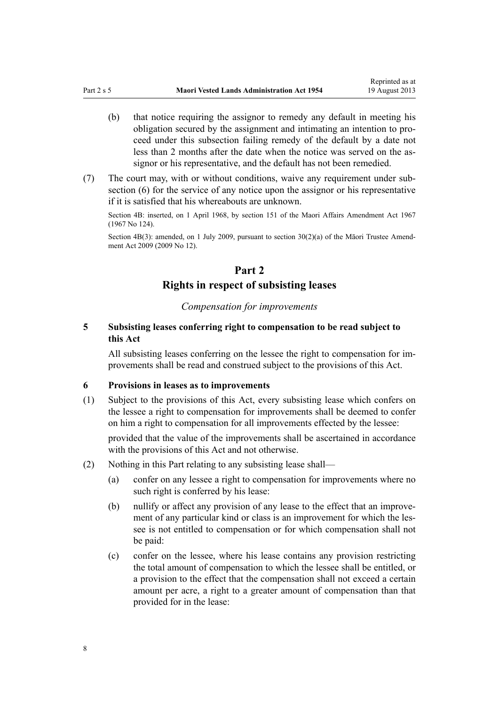- <span id="page-7-0"></span>(b) that notice requiring the assignor to remedy any default in meeting his obligation secured by the assignment and intimating an intention to proceed under this subsection failing remedy of the default by a date not less than 2 months after the date when the notice was served on the assignor or his representative, and the default has not been remedied.
- (7) The court may, with or without conditions, waive any requirement under subsection (6) for the service of any notice upon the assignor or his representative if it is satisfied that his whereabouts are unknown.

Section 4B: inserted, on 1 April 1968, by section 151 of the Maori Affairs Amendment Act 1967 (1967 No 124).

Section 4B(3): amended, on 1 July 2009, pursuant to [section 30\(2\)\(a\)](http://prd-lgnz-nlb.prd.pco.net.nz/pdflink.aspx?id=DLM1583888) of the Māori Trustee Amendment Act 2009 (2009 No 12).

# **Part 2 Rights in respect of subsisting leases**

# *Compensation for improvements*

# **5 Subsisting leases conferring right to compensation to be read subject to this Act**

All subsisting leases conferring on the lessee the right to compensation for improvements shall be read and construed subject to the provisions of this Act.

# **6 Provisions in leases as to improvements**

(1) Subject to the provisions of this Act, every subsisting lease which confers on the lessee a right to compensation for improvements shall be deemed to confer on him a right to compensation for all improvements effected by the lessee:

provided that the value of the improvements shall be ascertained in accordance with the provisions of this Act and not otherwise.

- (2) Nothing in this Part relating to any subsisting lease shall—
	- (a) confer on any lessee a right to compensation for improvements where no such right is conferred by his lease:
	- (b) nullify or affect any provision of any lease to the effect that an improvement of any particular kind or class is an improvement for which the lessee is not entitled to compensation or for which compensation shall not be paid:
	- (c) confer on the lessee, where his lease contains any provision restricting the total amount of compensation to which the lessee shall be entitled, or a provision to the effect that the compensation shall not exceed a certain amount per acre, a right to a greater amount of compensation than that provided for in the lease: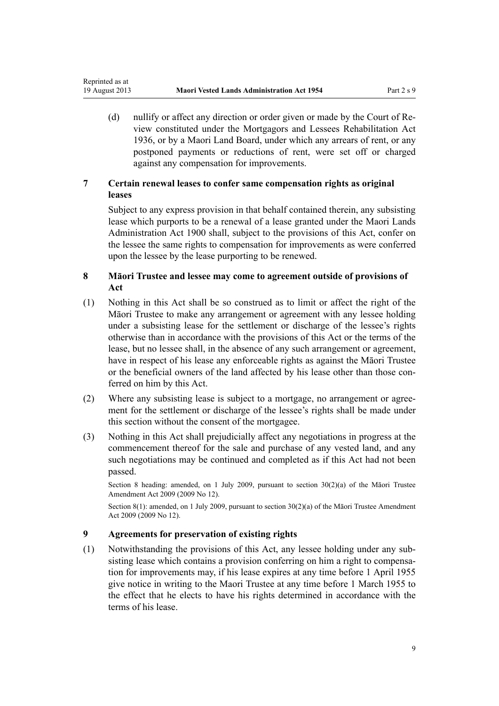<span id="page-8-0"></span>Reprinted as at

(d) nullify or affect any direction or order given or made by the Court of Review constituted under the [Mortgagors and Lessees Rehabilitation Act](http://prd-lgnz-nlb.prd.pco.net.nz/pdflink.aspx?id=DLM219821) [1936](http://prd-lgnz-nlb.prd.pco.net.nz/pdflink.aspx?id=DLM219821), or by a Maori Land Board, under which any arrears of rent, or any postponed payments or reductions of rent, were set off or charged against any compensation for improvements.

# **7 Certain renewal leases to confer same compensation rights as original leases**

Subject to any express provision in that behalf contained therein, any subsisting lease which purports to be a renewal of a lease granted under the Maori Lands Administration Act 1900 shall, subject to the provisions of this Act, confer on the lessee the same rights to compensation for improvements as were conferred upon the lessee by the lease purporting to be renewed.

# **8 Māori Trustee and lessee may come to agreement outside of provisions of Act**

- (1) Nothing in this Act shall be so construed as to limit or affect the right of the Māori Trustee to make any arrangement or agreement with any lessee holding under a subsisting lease for the settlement or discharge of the lessee's rights otherwise than in accordance with the provisions of this Act or the terms of the lease, but no lessee shall, in the absence of any such arrangement or agreement, have in respect of his lease any enforceable rights as against the Māori Trustee or the beneficial owners of the land affected by his lease other than those conferred on him by this Act.
- (2) Where any subsisting lease is subject to a mortgage, no arrangement or agreement for the settlement or discharge of the lessee's rights shall be made under this section without the consent of the mortgagee.
- (3) Nothing in this Act shall prejudicially affect any negotiations in progress at the commencement thereof for the sale and purchase of any vested land, and any such negotiations may be continued and completed as if this Act had not been passed.

Section 8 heading: amended, on 1 July 2009, pursuant to [section 30\(2\)\(a\)](http://prd-lgnz-nlb.prd.pco.net.nz/pdflink.aspx?id=DLM1583888) of the Māori Trustee Amendment Act 2009 (2009 No 12).

Section 8(1): amended, on 1 July 2009, pursuant to [section 30\(2\)\(a\)](http://prd-lgnz-nlb.prd.pco.net.nz/pdflink.aspx?id=DLM1583888) of the Māori Trustee Amendment Act 2009 (2009 No 12).

# **9 Agreements for preservation of existing rights**

(1) Notwithstanding the provisions of this Act, any lessee holding under any subsisting lease which contains a provision conferring on him a right to compensation for improvements may, if his lease expires at any time before 1 April 1955 give notice in writing to the Maori Trustee at any time before 1 March 1955 to the effect that he elects to have his rights determined in accordance with the terms of his lease.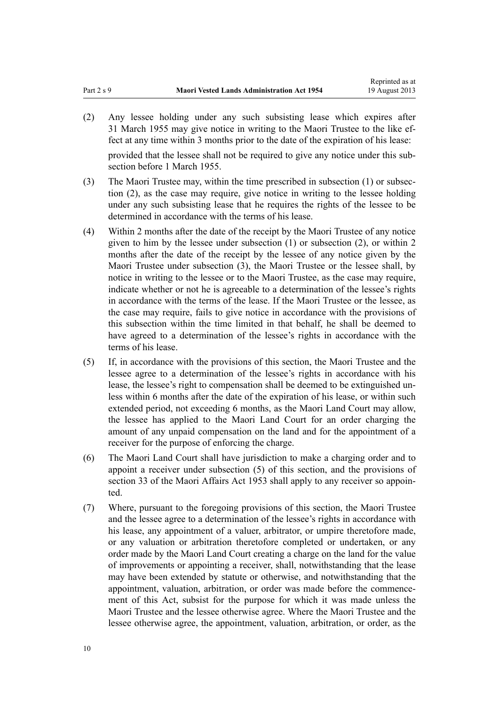(2) Any lessee holding under any such subsisting lease which expires after 31 March 1955 may give notice in writing to the Maori Trustee to the like effect at any time within 3 months prior to the date of the expiration of his lease:

provided that the lessee shall not be required to give any notice under this subsection before 1 March 1955.

- (3) The Maori Trustee may, within the time prescribed in subsection (1) or subsection (2), as the case may require, give notice in writing to the lessee holding under any such subsisting lease that he requires the rights of the lessee to be determined in accordance with the terms of his lease.
- (4) Within 2 months after the date of the receipt by the Maori Trustee of any notice given to him by the lessee under subsection (1) or subsection (2), or within 2 months after the date of the receipt by the lessee of any notice given by the Maori Trustee under subsection (3), the Maori Trustee or the lessee shall, by notice in writing to the lessee or to the Maori Trustee, as the case may require, indicate whether or not he is agreeable to a determination of the lessee's rights in accordance with the terms of the lease. If the Maori Trustee or the lessee, as the case may require, fails to give notice in accordance with the provisions of this subsection within the time limited in that behalf, he shall be deemed to have agreed to a determination of the lessee's rights in accordance with the terms of his lease.
- (5) If, in accordance with the provisions of this section, the Maori Trustee and the lessee agree to a determination of the lessee's rights in accordance with his lease, the lessee's right to compensation shall be deemed to be extinguished unless within 6 months after the date of the expiration of his lease, or within such extended period, not exceeding 6 months, as the Maori Land Court may allow, the lessee has applied to the Maori Land Court for an order charging the amount of any unpaid compensation on the land and for the appointment of a receiver for the purpose of enforcing the charge.
- (6) The Maori Land Court shall have jurisdiction to make a charging order and to appoint a receiver under subsection (5) of this section, and the provisions of section 33 of the Maori Affairs Act 1953 shall apply to any receiver so appointed.
- (7) Where, pursuant to the foregoing provisions of this section, the Maori Trustee and the lessee agree to a determination of the lessee's rights in accordance with his lease, any appointment of a valuer, arbitrator, or umpire theretofore made, or any valuation or arbitration theretofore completed or undertaken, or any order made by the Maori Land Court creating a charge on the land for the value of improvements or appointing a receiver, shall, notwithstanding that the lease may have been extended by statute or otherwise, and notwithstanding that the appointment, valuation, arbitration, or order was made before the commencement of this Act, subsist for the purpose for which it was made unless the Maori Trustee and the lessee otherwise agree. Where the Maori Trustee and the lessee otherwise agree, the appointment, valuation, arbitration, or order, as the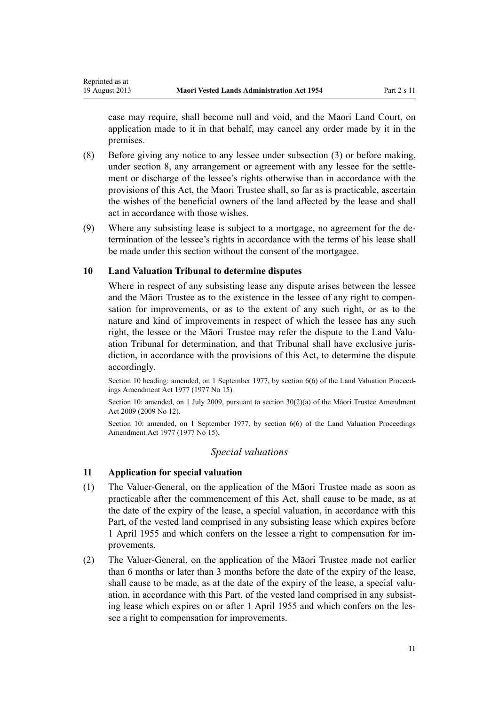case may require, shall become null and void, and the Maori Land Court, on application made to it in that behalf, may cancel any order made by it in the premises.

- (8) Before giving any notice to any lessee under subsection (3) or before making, under [section 8,](#page-8-0) any arrangement or agreement with any lessee for the settlement or discharge of the lessee's rights otherwise than in accordance with the provisions of this Act, the Maori Trustee shall, so far as is practicable, ascertain the wishes of the beneficial owners of the land affected by the lease and shall act in accordance with those wishes.
- (9) Where any subsisting lease is subject to a mortgage, no agreement for the determination of the lessee's rights in accordance with the terms of his lease shall be made under this section without the consent of the mortgagee.

# **10 Land Valuation Tribunal to determine disputes**

<span id="page-10-0"></span>Reprinted as at

Where in respect of any subsisting lease any dispute arises between the lessee and the Māori Trustee as to the existence in the lessee of any right to compensation for improvements, or as to the extent of any such right, or as to the nature and kind of improvements in respect of which the lessee has any such right, the lessee or the Māori Trustee may refer the dispute to the Land Valuation Tribunal for determination, and that Tribunal shall have exclusive jurisdiction, in accordance with the provisions of this Act, to determine the dispute accordingly.

Section 10 heading: amended, on 1 September 1977, by [section 6\(6\)](http://prd-lgnz-nlb.prd.pco.net.nz/pdflink.aspx?id=DLM442575) of the Land Valuation Proceedings Amendment Act 1977 (1977 No 15).

Section 10: amended, on 1 July 2009, pursuant to [section 30\(2\)\(a\)](http://prd-lgnz-nlb.prd.pco.net.nz/pdflink.aspx?id=DLM1583888) of the Māori Trustee Amendment Act 2009 (2009 No 12).

Section 10: amended, on 1 September 1977, by [section 6\(6\)](http://prd-lgnz-nlb.prd.pco.net.nz/pdflink.aspx?id=DLM442575) of the Land Valuation Proceedings Amendment Act 1977 (1977 No 15).

### *Special valuations*

# **11 Application for special valuation**

- (1) The Valuer-General, on the application of the Māori Trustee made as soon as practicable after the commencement of this Act, shall cause to be made, as at the date of the expiry of the lease, a special valuation, in accordance with this Part, of the vested land comprised in any subsisting lease which expires before 1 April 1955 and which confers on the lessee a right to compensation for improvements.
- (2) The Valuer-General, on the application of the Māori Trustee made not earlier than 6 months or later than 3 months before the date of the expiry of the lease, shall cause to be made, as at the date of the expiry of the lease, a special valuation, in accordance with this Part, of the vested land comprised in any subsisting lease which expires on or after 1 April 1955 and which confers on the lessee a right to compensation for improvements.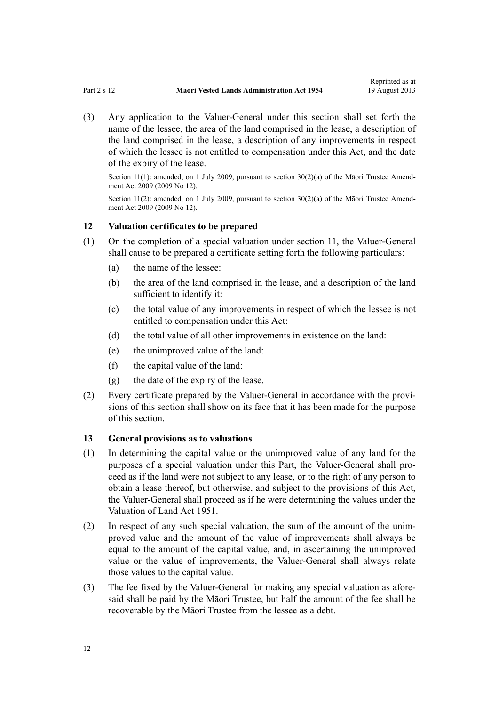<span id="page-11-0"></span>(3) Any application to the Valuer-General under this section shall set forth the name of the lessee, the area of the land comprised in the lease, a description of the land comprised in the lease, a description of any improvements in respect of which the lessee is not entitled to compensation under this Act, and the date of the expiry of the lease.

Section 11(1): amended, on 1 July 2009, pursuant to [section 30\(2\)\(a\)](http://prd-lgnz-nlb.prd.pco.net.nz/pdflink.aspx?id=DLM1583888) of the Māori Trustee Amendment Act 2009 (2009 No 12).

Section 11(2): amended, on 1 July 2009, pursuant to [section 30\(2\)\(a\)](http://prd-lgnz-nlb.prd.pco.net.nz/pdflink.aspx?id=DLM1583888) of the Māori Trustee Amendment Act 2009 (2009 No 12).

# **12 Valuation certificates to be prepared**

- (1) On the completion of a special valuation under [section 11,](#page-10-0) the Valuer-General shall cause to be prepared a certificate setting forth the following particulars:
	- (a) the name of the lessee:
	- (b) the area of the land comprised in the lease, and a description of the land sufficient to identify it:
	- (c) the total value of any improvements in respect of which the lessee is not entitled to compensation under this Act:
	- (d) the total value of all other improvements in existence on the land:
	- (e) the unimproved value of the land:
	- (f) the capital value of the land:
	- (g) the date of the expiry of the lease.
- (2) Every certificate prepared by the Valuer-General in accordance with the provisions of this section shall show on its face that it has been made for the purpose of this section.

### **13 General provisions as to valuations**

- (1) In determining the capital value or the unimproved value of any land for the purposes of a special valuation under this Part, the Valuer-General shall proceed as if the land were not subject to any lease, or to the right of any person to obtain a lease thereof, but otherwise, and subject to the provisions of this Act, the Valuer-General shall proceed as if he were determining the values under the Valuation of Land Act 1951.
- (2) In respect of any such special valuation, the sum of the amount of the unimproved value and the amount of the value of improvements shall always be equal to the amount of the capital value, and, in ascertaining the unimproved value or the value of improvements, the Valuer-General shall always relate those values to the capital value.
- (3) The fee fixed by the Valuer-General for making any special valuation as aforesaid shall be paid by the Māori Trustee, but half the amount of the fee shall be recoverable by the Māori Trustee from the lessee as a debt.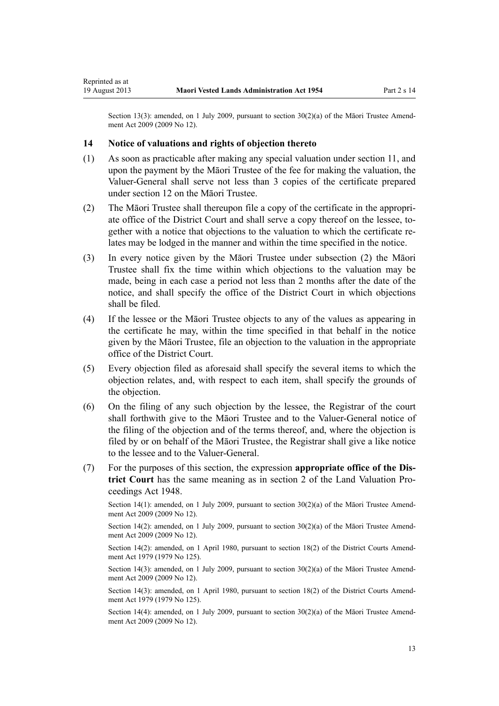Section 13(3): amended, on 1 July 2009, pursuant to [section 30\(2\)\(a\)](http://prd-lgnz-nlb.prd.pco.net.nz/pdflink.aspx?id=DLM1583888) of the Māori Trustee Amendment Act 2009 (2009 No 12).

### **14 Notice of valuations and rights of objection thereto**

<span id="page-12-0"></span>Reprinted as at

- (1) As soon as practicable after making any special valuation under [section 11,](#page-10-0) and upon the payment by the Māori Trustee of the fee for making the valuation, the Valuer-General shall serve not less than 3 copies of the certificate prepared under [section 12](#page-11-0) on the Māori Trustee.
- (2) The Māori Trustee shall thereupon file a copy of the certificate in the appropriate office of the District Court and shall serve a copy thereof on the lessee, together with a notice that objections to the valuation to which the certificate relates may be lodged in the manner and within the time specified in the notice.
- (3) In every notice given by the Māori Trustee under subsection (2) the Māori Trustee shall fix the time within which objections to the valuation may be made, being in each case a period not less than 2 months after the date of the notice, and shall specify the office of the District Court in which objections shall be filed.
- (4) If the lessee or the Māori Trustee objects to any of the values as appearing in the certificate he may, within the time specified in that behalf in the notice given by the Māori Trustee, file an objection to the valuation in the appropriate office of the District Court.
- (5) Every objection filed as aforesaid shall specify the several items to which the objection relates, and, with respect to each item, shall specify the grounds of the objection.
- (6) On the filing of any such objection by the lessee, the Registrar of the court shall forthwith give to the Māori Trustee and to the Valuer-General notice of the filing of the objection and of the terms thereof, and, where the objection is filed by or on behalf of the Māori Trustee, the Registrar shall give a like notice to the lessee and to the Valuer-General.
- (7) For the purposes of this section, the expression **appropriate office of the District Court** has the same meaning as in [section 2](http://prd-lgnz-nlb.prd.pco.net.nz/pdflink.aspx?id=DLM249219) of the Land Valuation Proceedings Act 1948.

Section 14(1): amended, on 1 July 2009, pursuant to [section 30\(2\)\(a\)](http://prd-lgnz-nlb.prd.pco.net.nz/pdflink.aspx?id=DLM1583888) of the Māori Trustee Amendment Act 2009 (2009 No 12).

Section 14(2): amended, on 1 July 2009, pursuant to [section 30\(2\)\(a\)](http://prd-lgnz-nlb.prd.pco.net.nz/pdflink.aspx?id=DLM1583888) of the Māori Trustee Amendment Act 2009 (2009 No 12).

Section 14(2): amended, on 1 April 1980, pursuant to [section 18\(2\)](http://prd-lgnz-nlb.prd.pco.net.nz/pdflink.aspx?id=DLM35085) of the District Courts Amendment Act 1979 (1979 No 125).

Section 14(3): amended, on 1 July 2009, pursuant to [section 30\(2\)\(a\)](http://prd-lgnz-nlb.prd.pco.net.nz/pdflink.aspx?id=DLM1583888) of the Māori Trustee Amendment Act 2009 (2009 No 12).

Section 14(3): amended, on 1 April 1980, pursuant to [section 18\(2\)](http://prd-lgnz-nlb.prd.pco.net.nz/pdflink.aspx?id=DLM35085) of the District Courts Amendment Act 1979 (1979 No 125).

Section 14(4): amended, on 1 July 2009, pursuant to [section 30\(2\)\(a\)](http://prd-lgnz-nlb.prd.pco.net.nz/pdflink.aspx?id=DLM1583888) of the Māori Trustee Amendment Act 2009 (2009 No 12).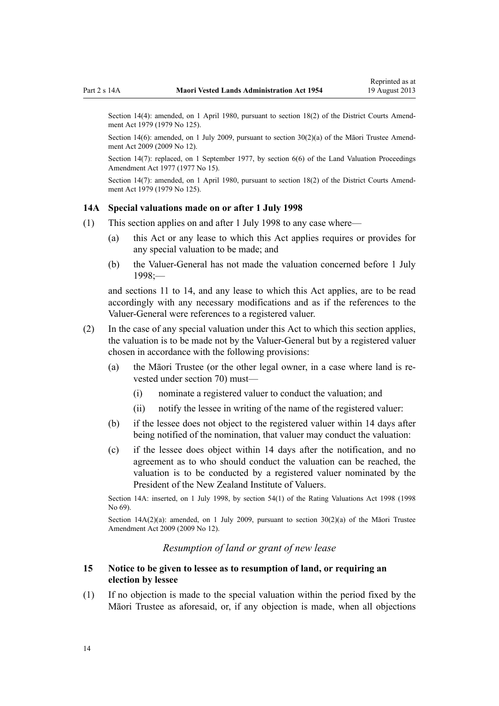<span id="page-13-0"></span>Section 14(4): amended, on 1 April 1980, pursuant to [section 18\(2\)](http://prd-lgnz-nlb.prd.pco.net.nz/pdflink.aspx?id=DLM35085) of the District Courts Amendment Act 1979 (1979 No 125).

Section 14(6): amended, on 1 July 2009, pursuant to [section 30\(2\)\(a\)](http://prd-lgnz-nlb.prd.pco.net.nz/pdflink.aspx?id=DLM1583888) of the Māori Trustee Amendment Act 2009 (2009 No 12).

Section 14(7): replaced, on 1 September 1977, by [section 6\(6\)](http://prd-lgnz-nlb.prd.pco.net.nz/pdflink.aspx?id=DLM442575) of the Land Valuation Proceedings Amendment Act 1977 (1977 No 15).

Section 14(7): amended, on 1 April 1980, pursuant to [section 18\(2\)](http://prd-lgnz-nlb.prd.pco.net.nz/pdflink.aspx?id=DLM35085) of the District Courts Amendment Act 1979 (1979 No 125).

### **14A Special valuations made on or after 1 July 1998**

- (1) This section applies on and after 1 July 1998 to any case where—
	- (a) this Act or any lease to which this Act applies requires or provides for any special valuation to be made; and
	- (b) the Valuer-General has not made the valuation concerned before 1 July 1998;—

and [sections 11 to 14](#page-10-0), and any lease to which this Act applies, are to be read accordingly with any necessary modifications and as if the references to the Valuer-General were references to a registered valuer.

- (2) In the case of any special valuation under this Act to which this section applies, the valuation is to be made not by the Valuer-General but by a registered valuer chosen in accordance with the following provisions:
	- (a) the Māori Trustee (or the other legal owner, in a case where land is revested under [section 70](#page-37-0)) must—
		- (i) nominate a registered valuer to conduct the valuation; and
		- (ii) notify the lessee in writing of the name of the registered valuer:
	- (b) if the lessee does not object to the registered valuer within 14 days after being notified of the nomination, that valuer may conduct the valuation:
	- (c) if the lessee does object within 14 days after the notification, and no agreement as to who should conduct the valuation can be reached, the valuation is to be conducted by a registered valuer nominated by the President of the New Zealand Institute of Valuers.

Section 14A: inserted, on 1 July 1998, by [section 54\(1\)](http://prd-lgnz-nlb.prd.pco.net.nz/pdflink.aspx?id=DLM427717) of the Rating Valuations Act 1998 (1998 No 69).

Section  $14A(2)(a)$ : amended, on 1 July 2009, pursuant to section  $30(2)(a)$  of the Māori Trustee Amendment Act 2009 (2009 No 12).

# *Resumption of land or grant of new lease*

# **15 Notice to be given to lessee as to resumption of land, or requiring an election by lessee**

(1) If no objection is made to the special valuation within the period fixed by the Māori Trustee as aforesaid, or, if any objection is made, when all objections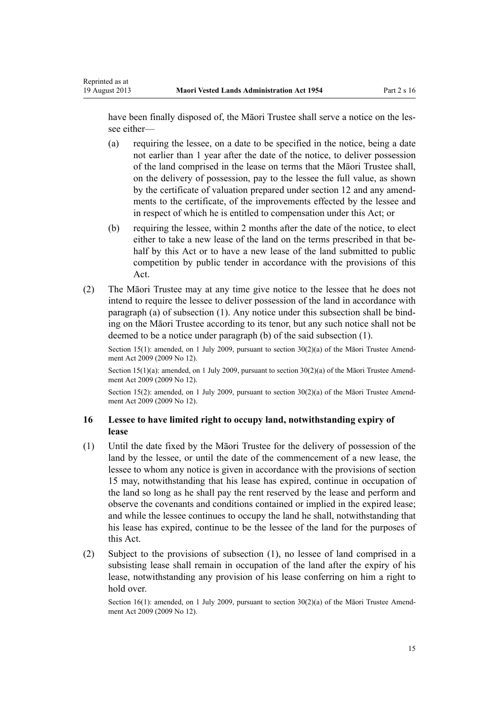<span id="page-14-0"></span>Reprinted as at

have been finally disposed of, the Māori Trustee shall serve a notice on the lessee either—

- (a) requiring the lessee, on a date to be specified in the notice, being a date not earlier than 1 year after the date of the notice, to deliver possession of the land comprised in the lease on terms that the Māori Trustee shall, on the delivery of possession, pay to the lessee the full value, as shown by the certificate of valuation prepared under [section 12](#page-11-0) and any amendments to the certificate, of the improvements effected by the lessee and in respect of which he is entitled to compensation under this Act; or
- (b) requiring the lessee, within 2 months after the date of the notice, to elect either to take a new lease of the land on the terms prescribed in that behalf by this Act or to have a new lease of the land submitted to public competition by public tender in accordance with the provisions of this Act.
- (2) The Māori Trustee may at any time give notice to the lessee that he does not intend to require the lessee to deliver possession of the land in accordance with paragraph (a) of subsection (1). Any notice under this subsection shall be binding on the Māori Trustee according to its tenor, but any such notice shall not be deemed to be a notice under paragraph (b) of the said subsection (1).

Section 15(1): amended, on 1 July 2009, pursuant to [section 30\(2\)\(a\)](http://prd-lgnz-nlb.prd.pco.net.nz/pdflink.aspx?id=DLM1583888) of the Māori Trustee Amendment Act 2009 (2009 No 12).

Section 15(1)(a): amended, on 1 July 2009, pursuant to [section 30\(2\)\(a\)](http://prd-lgnz-nlb.prd.pco.net.nz/pdflink.aspx?id=DLM1583888) of the Māori Trustee Amendment Act 2009 (2009 No 12).

Section 15(2): amended, on 1 July 2009, pursuant to [section 30\(2\)\(a\)](http://prd-lgnz-nlb.prd.pco.net.nz/pdflink.aspx?id=DLM1583888) of the Māori Trustee Amendment Act 2009 (2009 No 12).

# **16 Lessee to have limited right to occupy land, notwithstanding expiry of lease**

- (1) Until the date fixed by the Māori Trustee for the delivery of possession of the land by the lessee, or until the date of the commencement of a new lease, the lessee to whom any notice is given in accordance with the provisions of [section](#page-13-0) [15](#page-13-0) may, notwithstanding that his lease has expired, continue in occupation of the land so long as he shall pay the rent reserved by the lease and perform and observe the covenants and conditions contained or implied in the expired lease; and while the lessee continues to occupy the land he shall, notwithstanding that his lease has expired, continue to be the lessee of the land for the purposes of this Act.
- (2) Subject to the provisions of subsection (1), no lessee of land comprised in a subsisting lease shall remain in occupation of the land after the expiry of his lease, notwithstanding any provision of his lease conferring on him a right to hold over.

Section 16(1): amended, on 1 July 2009, pursuant to section  $30(2)(a)$  of the Matori Trustee Amendment Act 2009 (2009 No 12).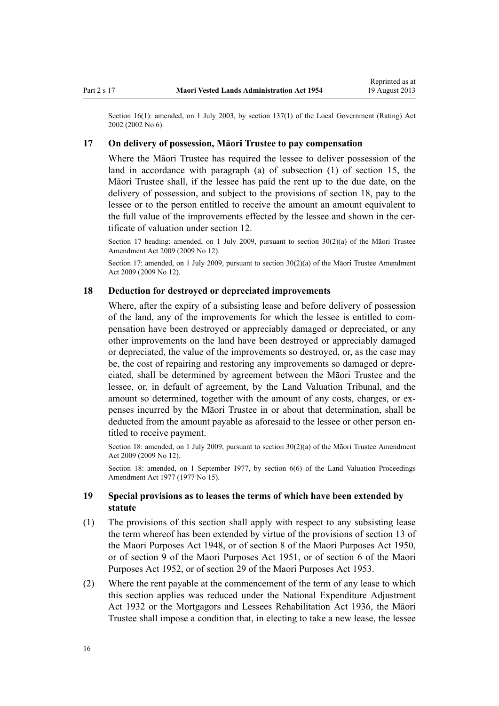<span id="page-15-0"></span>Section 16(1): amended, on 1 July 2003, by [section 137\(1\)](http://prd-lgnz-nlb.prd.pco.net.nz/pdflink.aspx?id=DLM133500) of the Local Government (Rating) Act 2002 (2002 No 6).

## **17 On delivery of possession, Māori Trustee to pay compensation**

Where the Māori Trustee has required the lessee to deliver possession of the land in accordance with paragraph (a) of subsection (1) of [section 15,](#page-13-0) the Māori Trustee shall, if the lessee has paid the rent up to the due date, on the delivery of possession, and subject to the provisions of section 18, pay to the lessee or to the person entitled to receive the amount an amount equivalent to the full value of the improvements effected by the lessee and shown in the certificate of valuation under [section 12](#page-11-0).

Section 17 heading: amended, on 1 July 2009, pursuant to section  $30(2)(a)$  of the Maori Trustee Amendment Act 2009 (2009 No 12).

Section 17: amended, on 1 July 2009, pursuant to [section 30\(2\)\(a\)](http://prd-lgnz-nlb.prd.pco.net.nz/pdflink.aspx?id=DLM1583888) of the Maori Trustee Amendment Act 2009 (2009 No 12).

### **18 Deduction for destroyed or depreciated improvements**

Where, after the expiry of a subsisting lease and before delivery of possession of the land, any of the improvements for which the lessee is entitled to compensation have been destroyed or appreciably damaged or depreciated, or any other improvements on the land have been destroyed or appreciably damaged or depreciated, the value of the improvements so destroyed, or, as the case may be, the cost of repairing and restoring any improvements so damaged or depreciated, shall be determined by agreement between the Māori Trustee and the lessee, or, in default of agreement, by the Land Valuation Tribunal, and the amount so determined, together with the amount of any costs, charges, or expenses incurred by the Māori Trustee in or about that determination, shall be deducted from the amount payable as aforesaid to the lessee or other person entitled to receive payment.

Section 18: amended, on 1 July 2009, pursuant to [section 30\(2\)\(a\)](http://prd-lgnz-nlb.prd.pco.net.nz/pdflink.aspx?id=DLM1583888) of the Māori Trustee Amendment Act 2009 (2009 No 12).

Section 18: amended, on 1 September 1977, by [section 6\(6\)](http://prd-lgnz-nlb.prd.pco.net.nz/pdflink.aspx?id=DLM442575) of the Land Valuation Proceedings Amendment Act 1977 (1977 No 15).

# **19 Special provisions as to leases the terms of which have been extended by statute**

- (1) The provisions of this section shall apply with respect to any subsisting lease the term whereof has been extended by virtue of the provisions of [section 13](http://prd-lgnz-nlb.prd.pco.net.nz/pdflink.aspx?id=DLM254468) of the Maori Purposes Act 1948, or of section 8 of the Maori Purposes Act 1950, or of [section 9](http://prd-lgnz-nlb.prd.pco.net.nz/pdflink.aspx?id=DLM264512) of the Maori Purposes Act 1951, or of [section 6](http://prd-lgnz-nlb.prd.pco.net.nz/pdflink.aspx?id=DLM275633) of the Maori Purposes Act 1952, or of [section 29](http://prd-lgnz-nlb.prd.pco.net.nz/pdflink.aspx?id=DLM284302) of the Maori Purposes Act 1953.
- (2) Where the rent payable at the commencement of the term of any lease to which this section applies was reduced under the [National Expenditure Adjustment](http://prd-lgnz-nlb.prd.pco.net.nz/pdflink.aspx?id=DLM212211) [Act 1932](http://prd-lgnz-nlb.prd.pco.net.nz/pdflink.aspx?id=DLM212211) or the [Mortgagors and Lessees Rehabilitation Act 1936](http://prd-lgnz-nlb.prd.pco.net.nz/pdflink.aspx?id=DLM219821), the Māori Trustee shall impose a condition that, in electing to take a new lease, the lessee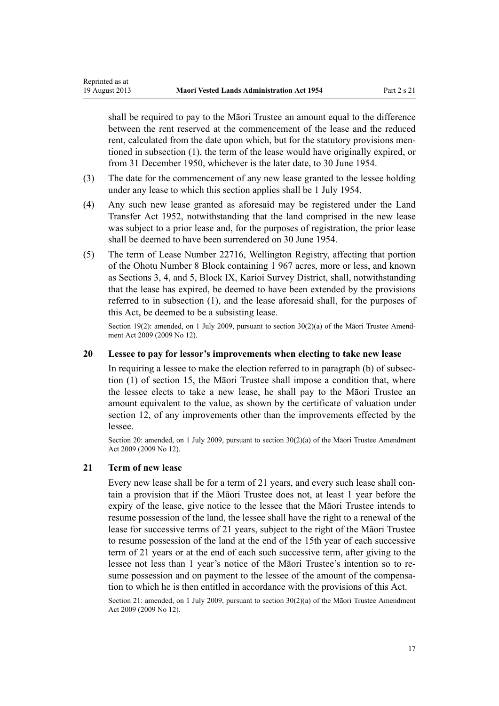shall be required to pay to the Māori Trustee an amount equal to the difference between the rent reserved at the commencement of the lease and the reduced rent, calculated from the date upon which, but for the statutory provisions mentioned in subsection (1), the term of the lease would have originally expired, or from 31 December 1950, whichever is the later date, to 30 June 1954.

- (3) The date for the commencement of any new lease granted to the lessee holding under any lease to which this section applies shall be 1 July 1954.
- (4) Any such new lease granted as aforesaid may be registered under the [Land](http://prd-lgnz-nlb.prd.pco.net.nz/pdflink.aspx?id=DLM269031) [Transfer Act 1952](http://prd-lgnz-nlb.prd.pco.net.nz/pdflink.aspx?id=DLM269031), notwithstanding that the land comprised in the new lease was subject to a prior lease and, for the purposes of registration, the prior lease shall be deemed to have been surrendered on 30 June 1954.
- (5) The term of Lease Number 22716, Wellington Registry, affecting that portion of the Ohotu Number 8 Block containing 1 967 acres, more or less, and known as Sections 3, 4, and 5, Block IX, Karioi Survey District, shall, notwithstanding that the lease has expired, be deemed to have been extended by the provisions referred to in subsection (1), and the lease aforesaid shall, for the purposes of this Act, be deemed to be a subsisting lease.

Section 19(2): amended, on 1 July 2009, pursuant to [section 30\(2\)\(a\)](http://prd-lgnz-nlb.prd.pco.net.nz/pdflink.aspx?id=DLM1583888) of the Maori Trustee Amendment Act 2009 (2009 No 12).

# **20 Lessee to pay for lessor's improvements when electing to take new lease**

In requiring a lessee to make the election referred to in paragraph (b) of subsection (1) of [section 15,](#page-13-0) the Māori Trustee shall impose a condition that, where the lessee elects to take a new lease, he shall pay to the Māori Trustee an amount equivalent to the value, as shown by the certificate of valuation under [section 12](#page-11-0), of any improvements other than the improvements effected by the lessee.

Section 20: amended, on 1 July 2009, pursuant to [section 30\(2\)\(a\)](http://prd-lgnz-nlb.prd.pco.net.nz/pdflink.aspx?id=DLM1583888) of the Māori Trustee Amendment Act 2009 (2009 No 12).

### **21 Term of new lease**

<span id="page-16-0"></span>Reprinted as at

Every new lease shall be for a term of 21 years, and every such lease shall contain a provision that if the Māori Trustee does not, at least 1 year before the expiry of the lease, give notice to the lessee that the Māori Trustee intends to resume possession of the land, the lessee shall have the right to a renewal of the lease for successive terms of 21 years, subject to the right of the Māori Trustee to resume possession of the land at the end of the 15th year of each successive term of 21 years or at the end of each such successive term, after giving to the lessee not less than 1 year's notice of the Māori Trustee's intention so to resume possession and on payment to the lessee of the amount of the compensation to which he is then entitled in accordance with the provisions of this Act.

Section 21: amended, on 1 July 2009, pursuant to [section 30\(2\)\(a\)](http://prd-lgnz-nlb.prd.pco.net.nz/pdflink.aspx?id=DLM1583888) of the Māori Trustee Amendment Act 2009 (2009 No 12).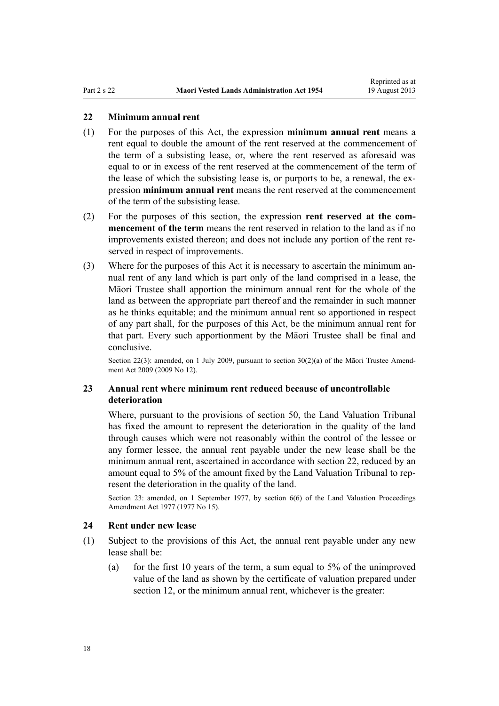# <span id="page-17-0"></span>**22 Minimum annual rent**

- (1) For the purposes of this Act, the expression **minimum annual rent** means a rent equal to double the amount of the rent reserved at the commencement of the term of a subsisting lease, or, where the rent reserved as aforesaid was equal to or in excess of the rent reserved at the commencement of the term of the lease of which the subsisting lease is, or purports to be, a renewal, the expression **minimum annual rent** means the rent reserved at the commencement of the term of the subsisting lease.
- (2) For the purposes of this section, the expression **rent reserved at the commencement of the term** means the rent reserved in relation to the land as if no improvements existed thereon; and does not include any portion of the rent reserved in respect of improvements.
- (3) Where for the purposes of this Act it is necessary to ascertain the minimum annual rent of any land which is part only of the land comprised in a lease, the Māori Trustee shall apportion the minimum annual rent for the whole of the land as between the appropriate part thereof and the remainder in such manner as he thinks equitable; and the minimum annual rent so apportioned in respect of any part shall, for the purposes of this Act, be the minimum annual rent for that part. Every such apportionment by the Māori Trustee shall be final and conclusive.

Section 22(3): amended, on 1 July 2009, pursuant to [section 30\(2\)\(a\)](http://prd-lgnz-nlb.prd.pco.net.nz/pdflink.aspx?id=DLM1583888) of the Māori Trustee Amendment Act 2009 (2009 No 12).

# **23 Annual rent where minimum rent reduced because of uncontrollable deterioration**

Where, pursuant to the provisions of [section 50,](#page-28-0) the Land Valuation Tribunal has fixed the amount to represent the deterioration in the quality of the land through causes which were not reasonably within the control of the lessee or any former lessee, the annual rent payable under the new lease shall be the minimum annual rent, ascertained in accordance with section 22, reduced by an amount equal to 5% of the amount fixed by the Land Valuation Tribunal to represent the deterioration in the quality of the land.

Section 23: amended, on 1 September 1977, by [section 6\(6\)](http://prd-lgnz-nlb.prd.pco.net.nz/pdflink.aspx?id=DLM442575) of the Land Valuation Proceedings Amendment Act 1977 (1977 No 15).

#### **24 Rent under new lease**

- (1) Subject to the provisions of this Act, the annual rent payable under any new lease shall be:
	- (a) for the first 10 years of the term, a sum equal to  $5%$  of the unimproved value of the land as shown by the certificate of valuation prepared under [section 12](#page-11-0), or the minimum annual rent, whichever is the greater: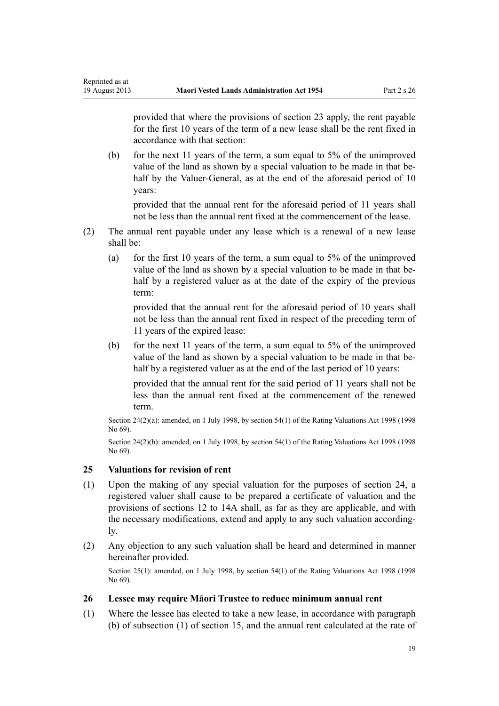provided that where the provisions of [section 23](#page-17-0) apply, the rent payable for the first 10 years of the term of a new lease shall be the rent fixed in accordance with that section:

(b) for the next 11 years of the term, a sum equal to 5% of the unimproved value of the land as shown by a special valuation to be made in that behalf by the Valuer-General, as at the end of the aforesaid period of 10 years:

provided that the annual rent for the aforesaid period of 11 years shall not be less than the annual rent fixed at the commencement of the lease.

- (2) The annual rent payable under any lease which is a renewal of a new lease shall be:
	- (a) for the first 10 years of the term, a sum equal to 5% of the unimproved value of the land as shown by a special valuation to be made in that behalf by a registered valuer as at the date of the expiry of the previous term:

provided that the annual rent for the aforesaid period of 10 years shall not be less than the annual rent fixed in respect of the preceding term of 11 years of the expired lease:

(b) for the next 11 years of the term, a sum equal to 5% of the unimproved value of the land as shown by a special valuation to be made in that behalf by a registered valuer as at the end of the last period of 10 years:

provided that the annual rent for the said period of 11 years shall not be less than the annual rent fixed at the commencement of the renewed term.

Section 24(2)(a): amended, on 1 July 1998, by [section 54\(1\)](http://prd-lgnz-nlb.prd.pco.net.nz/pdflink.aspx?id=DLM427717) of the Rating Valuations Act 1998 (1998 No 69).

Section 24(2)(b): amended, on 1 July 1998, by [section 54\(1\)](http://prd-lgnz-nlb.prd.pco.net.nz/pdflink.aspx?id=DLM427717) of the Rating Valuations Act 1998 (1998 No 69).

### **25 Valuations for revision of rent**

<span id="page-18-0"></span>Reprinted as at

- (1) Upon the making of any special valuation for the purposes of [section 24](#page-17-0), a registered valuer shall cause to be prepared a certificate of valuation and the provisions of [sections 12 to 14A](#page-11-0) shall, as far as they are applicable, and with the necessary modifications, extend and apply to any such valuation accordingly.
- (2) Any objection to any such valuation shall be heard and determined in manner hereinafter provided.

Section 25(1): amended, on 1 July 1998, by [section 54\(1\)](http://prd-lgnz-nlb.prd.pco.net.nz/pdflink.aspx?id=DLM427717) of the Rating Valuations Act 1998 (1998 No 69).

### **26 Lessee may require Māori Trustee to reduce minimum annual rent**

(1) Where the lessee has elected to take a new lease, in accordance with paragraph (b) of subsection (1) of [section 15,](#page-13-0) and the annual rent calculated at the rate of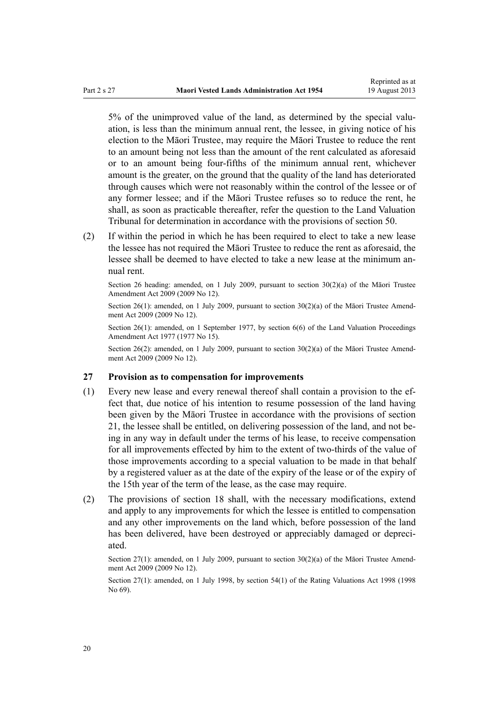<span id="page-19-0"></span>5% of the unimproved value of the land, as determined by the special valuation, is less than the minimum annual rent, the lessee, in giving notice of his election to the Māori Trustee, may require the Māori Trustee to reduce the rent to an amount being not less than the amount of the rent calculated as aforesaid or to an amount being four-fifths of the minimum annual rent, whichever amount is the greater, on the ground that the quality of the land has deteriorated through causes which were not reasonably within the control of the lessee or of any former lessee; and if the Māori Trustee refuses so to reduce the rent, he shall, as soon as practicable thereafter, refer the question to the Land Valuation Tribunal for determination in accordance with the provisions of [section 50](#page-28-0).

(2) If within the period in which he has been required to elect to take a new lease the lessee has not required the Māori Trustee to reduce the rent as aforesaid, the lessee shall be deemed to have elected to take a new lease at the minimum annual rent.

Section 26 heading: amended, on 1 July 2009, pursuant to [section 30\(2\)\(a\)](http://prd-lgnz-nlb.prd.pco.net.nz/pdflink.aspx?id=DLM1583888) of the Māori Trustee Amendment Act 2009 (2009 No 12).

Section 26(1): amended, on 1 July 2009, pursuant to [section 30\(2\)\(a\)](http://prd-lgnz-nlb.prd.pco.net.nz/pdflink.aspx?id=DLM1583888) of the Māori Trustee Amendment Act 2009 (2009 No 12).

Section 26(1): amended, on 1 September 1977, by [section 6\(6\)](http://prd-lgnz-nlb.prd.pco.net.nz/pdflink.aspx?id=DLM442575) of the Land Valuation Proceedings Amendment Act 1977 (1977 No 15).

Section 26(2): amended, on 1 July 2009, pursuant to [section 30\(2\)\(a\)](http://prd-lgnz-nlb.prd.pco.net.nz/pdflink.aspx?id=DLM1583888) of the Maori Trustee Amendment Act 2009 (2009 No 12).

### **27 Provision as to compensation for improvements**

- (1) Every new lease and every renewal thereof shall contain a provision to the effect that, due notice of his intention to resume possession of the land having been given by the Māori Trustee in accordance with the provisions of [section](#page-16-0) [21,](#page-16-0) the lessee shall be entitled, on delivering possession of the land, and not being in any way in default under the terms of his lease, to receive compensation for all improvements effected by him to the extent of two-thirds of the value of those improvements according to a special valuation to be made in that behalf by a registered valuer as at the date of the expiry of the lease or of the expiry of the 15th year of the term of the lease, as the case may require.
- (2) The provisions of [section 18](#page-15-0) shall, with the necessary modifications, extend and apply to any improvements for which the lessee is entitled to compensation and any other improvements on the land which, before possession of the land has been delivered, have been destroyed or appreciably damaged or depreciated.

Section 27(1): amended, on 1 July 2009, pursuant to [section 30\(2\)\(a\)](http://prd-lgnz-nlb.prd.pco.net.nz/pdflink.aspx?id=DLM1583888) of the Māori Trustee Amendment Act 2009 (2009 No 12).

Section 27(1): amended, on 1 July 1998, by [section 54\(1\)](http://prd-lgnz-nlb.prd.pco.net.nz/pdflink.aspx?id=DLM427717) of the Rating Valuations Act 1998 (1998 No 69).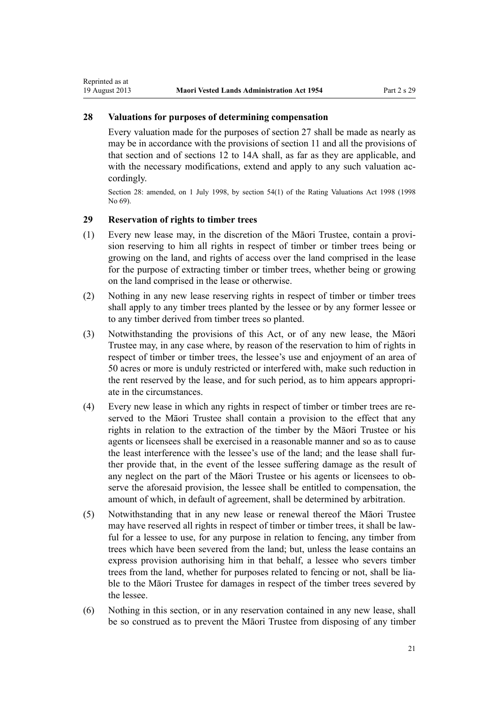# **28 Valuations for purposes of determining compensation**

Every valuation made for the purposes of [section 27](#page-19-0) shall be made as nearly as may be in accordance with the provisions of [section 11](#page-10-0) and all the provisions of that section and of [sections 12 to 14A](#page-11-0) shall, as far as they are applicable, and with the necessary modifications, extend and apply to any such valuation accordingly.

Section 28: amended, on 1 July 1998, by [section 54\(1\)](http://prd-lgnz-nlb.prd.pco.net.nz/pdflink.aspx?id=DLM427717) of the Rating Valuations Act 1998 (1998 No 69).

# **29 Reservation of rights to timber trees**

<span id="page-20-0"></span>Reprinted as at

- (1) Every new lease may, in the discretion of the Māori Trustee, contain a provision reserving to him all rights in respect of timber or timber trees being or growing on the land, and rights of access over the land comprised in the lease for the purpose of extracting timber or timber trees, whether being or growing on the land comprised in the lease or otherwise.
- (2) Nothing in any new lease reserving rights in respect of timber or timber trees shall apply to any timber trees planted by the lessee or by any former lessee or to any timber derived from timber trees so planted.
- (3) Notwithstanding the provisions of this Act, or of any new lease, the Māori Trustee may, in any case where, by reason of the reservation to him of rights in respect of timber or timber trees, the lessee's use and enjoyment of an area of 50 acres or more is unduly restricted or interfered with, make such reduction in the rent reserved by the lease, and for such period, as to him appears appropriate in the circumstances.
- (4) Every new lease in which any rights in respect of timber or timber trees are reserved to the Māori Trustee shall contain a provision to the effect that any rights in relation to the extraction of the timber by the Māori Trustee or his agents or licensees shall be exercised in a reasonable manner and so as to cause the least interference with the lessee's use of the land; and the lease shall further provide that, in the event of the lessee suffering damage as the result of any neglect on the part of the Māori Trustee or his agents or licensees to observe the aforesaid provision, the lessee shall be entitled to compensation, the amount of which, in default of agreement, shall be determined by arbitration.
- (5) Notwithstanding that in any new lease or renewal thereof the Māori Trustee may have reserved all rights in respect of timber or timber trees, it shall be lawful for a lessee to use, for any purpose in relation to fencing, any timber from trees which have been severed from the land; but, unless the lease contains an express provision authorising him in that behalf, a lessee who severs timber trees from the land, whether for purposes related to fencing or not, shall be liable to the Māori Trustee for damages in respect of the timber trees severed by the lessee.
- (6) Nothing in this section, or in any reservation contained in any new lease, shall be so construed as to prevent the Māori Trustee from disposing of any timber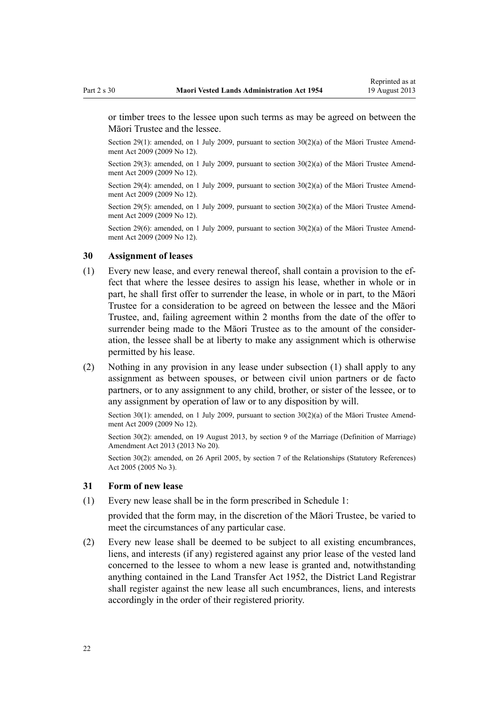<span id="page-21-0"></span>or timber trees to the lessee upon such terms as may be agreed on between the Māori Trustee and the lessee.

Section 29(1): amended, on 1 July 2009, pursuant to [section 30\(2\)\(a\)](http://prd-lgnz-nlb.prd.pco.net.nz/pdflink.aspx?id=DLM1583888) of the Māori Trustee Amendment Act 2009 (2009 No 12).

Section 29(3): amended, on 1 July 2009, pursuant to [section 30\(2\)\(a\)](http://prd-lgnz-nlb.prd.pco.net.nz/pdflink.aspx?id=DLM1583888) of the Māori Trustee Amendment Act 2009 (2009 No 12).

Section 29(4): amended, on 1 July 2009, pursuant to section  $30(2)(a)$  of the Maori Trustee Amendment Act 2009 (2009 No 12).

Section 29(5): amended, on 1 July 2009, pursuant to [section 30\(2\)\(a\)](http://prd-lgnz-nlb.prd.pco.net.nz/pdflink.aspx?id=DLM1583888) of the Māori Trustee Amendment Act 2009 (2009 No 12).

Section 29(6): amended, on 1 July 2009, pursuant to [section 30\(2\)\(a\)](http://prd-lgnz-nlb.prd.pco.net.nz/pdflink.aspx?id=DLM1583888) of the Māori Trustee Amendment Act 2009 (2009 No 12).

# **30 Assignment of leases**

- (1) Every new lease, and every renewal thereof, shall contain a provision to the effect that where the lessee desires to assign his lease, whether in whole or in part, he shall first offer to surrender the lease, in whole or in part, to the Māori Trustee for a consideration to be agreed on between the lessee and the Māori Trustee, and, failing agreement within 2 months from the date of the offer to surrender being made to the Māori Trustee as to the amount of the consideration, the lessee shall be at liberty to make any assignment which is otherwise permitted by his lease.
- (2) Nothing in any provision in any lease under subsection (1) shall apply to any assignment as between spouses, or between civil union partners or de facto partners, or to any assignment to any child, brother, or sister of the lessee, or to any assignment by operation of law or to any disposition by will.

Section 30(1): amended, on 1 July 2009, pursuant to [section 30\(2\)\(a\)](http://prd-lgnz-nlb.prd.pco.net.nz/pdflink.aspx?id=DLM1583888) of the Māori Trustee Amendment Act 2009 (2009 No 12).

Section 30(2): amended, on 19 August 2013, by [section 9](http://prd-lgnz-nlb.prd.pco.net.nz/pdflink.aspx?id=DLM5045103) of the Marriage (Definition of Marriage) Amendment Act 2013 (2013 No 20).

Section 30(2): amended, on 26 April 2005, by [section 7](http://prd-lgnz-nlb.prd.pco.net.nz/pdflink.aspx?id=DLM333795) of the Relationships (Statutory References) Act 2005 (2005 No 3).

### **31 Form of new lease**

(1) Every new lease shall be in the form prescribed in [Schedule 1](#page-40-0):

provided that the form may, in the discretion of the Māori Trustee, be varied to meet the circumstances of any particular case.

(2) Every new lease shall be deemed to be subject to all existing encumbrances, liens, and interests (if any) registered against any prior lease of the vested land concerned to the lessee to whom a new lease is granted and, notwithstanding anything contained in the [Land Transfer Act 1952](http://prd-lgnz-nlb.prd.pco.net.nz/pdflink.aspx?id=DLM269031), the District Land Registrar shall register against the new lease all such encumbrances, liens, and interests accordingly in the order of their registered priority.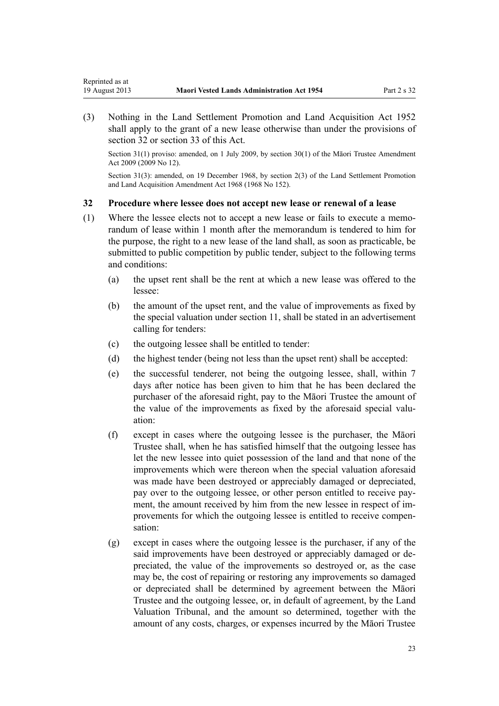<span id="page-22-0"></span>Reprinted as at

(3) Nothing in the Land Settlement Promotion and Land Acquisition Act 1952 shall apply to the grant of a new lease otherwise than under the provisions of section 32 or [section 33](#page-23-0) of this Act.

Section 31(1) proviso: amended, on 1 July 2009, by [section 30\(1\)](http://prd-lgnz-nlb.prd.pco.net.nz/pdflink.aspx?id=DLM1583888) of the Maori Trustee Amendment Act 2009 (2009 No 12).

Section 31(3): amended, on 19 December 1968, by section 2(3) of the Land Settlement Promotion and Land Acquisition Amendment Act 1968 (1968 No 152).

# **32 Procedure where lessee does not accept new lease or renewal of a lease**

- (1) Where the lessee elects not to accept a new lease or fails to execute a memorandum of lease within 1 month after the memorandum is tendered to him for the purpose, the right to a new lease of the land shall, as soon as practicable, be submitted to public competition by public tender, subject to the following terms and conditions:
	- (a) the upset rent shall be the rent at which a new lease was offered to the lessee:
	- (b) the amount of the upset rent, and the value of improvements as fixed by the special valuation under [section 11](#page-10-0), shall be stated in an advertisement calling for tenders:
	- (c) the outgoing lessee shall be entitled to tender:
	- (d) the highest tender (being not less than the upset rent) shall be accepted:
	- (e) the successful tenderer, not being the outgoing lessee, shall, within 7 days after notice has been given to him that he has been declared the purchaser of the aforesaid right, pay to the Māori Trustee the amount of the value of the improvements as fixed by the aforesaid special valuation:
	- (f) except in cases where the outgoing lessee is the purchaser, the Māori Trustee shall, when he has satisfied himself that the outgoing lessee has let the new lessee into quiet possession of the land and that none of the improvements which were thereon when the special valuation aforesaid was made have been destroyed or appreciably damaged or depreciated, pay over to the outgoing lessee, or other person entitled to receive payment, the amount received by him from the new lessee in respect of improvements for which the outgoing lessee is entitled to receive compensation:
	- (g) except in cases where the outgoing lessee is the purchaser, if any of the said improvements have been destroyed or appreciably damaged or depreciated, the value of the improvements so destroyed or, as the case may be, the cost of repairing or restoring any improvements so damaged or depreciated shall be determined by agreement between the Māori Trustee and the outgoing lessee, or, in default of agreement, by the Land Valuation Tribunal, and the amount so determined, together with the amount of any costs, charges, or expenses incurred by the Māori Trustee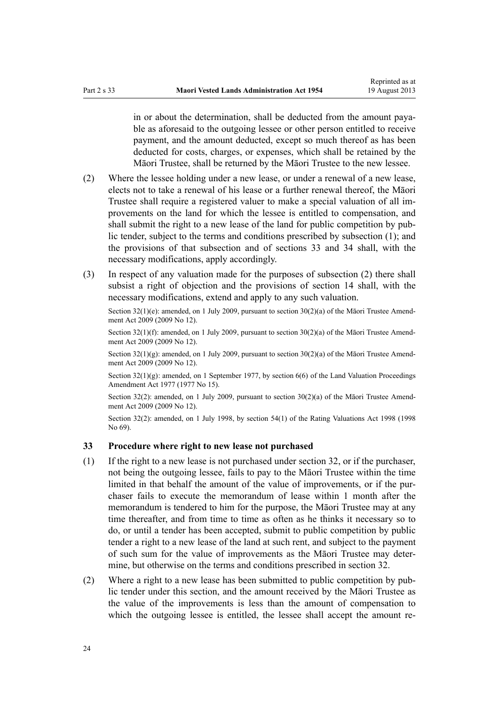<span id="page-23-0"></span>in or about the determination, shall be deducted from the amount payable as aforesaid to the outgoing lessee or other person entitled to receive payment, and the amount deducted, except so much thereof as has been deducted for costs, charges, or expenses, which shall be retained by the Māori Trustee, shall be returned by the Māori Trustee to the new lessee.

- (2) Where the lessee holding under a new lease, or under a renewal of a new lease, elects not to take a renewal of his lease or a further renewal thereof, the Māori Trustee shall require a registered valuer to make a special valuation of all improvements on the land for which the lessee is entitled to compensation, and shall submit the right to a new lease of the land for public competition by public tender, subject to the terms and conditions prescribed by subsection (1); and the provisions of that subsection and of sections 33 and [34](#page-24-0) shall, with the necessary modifications, apply accordingly.
- (3) In respect of any valuation made for the purposes of subsection (2) there shall subsist a right of objection and the provisions of [section 14](#page-12-0) shall, with the necessary modifications, extend and apply to any such valuation.

Section  $32(1)(e)$ : amended, on 1 July 2009, pursuant to section  $30(2)(a)$  of the Māori Trustee Amendment Act 2009 (2009 No 12).

Section 32(1)(f): amended, on 1 July 2009, pursuant to [section 30\(2\)\(a\)](http://prd-lgnz-nlb.prd.pco.net.nz/pdflink.aspx?id=DLM1583888) of the Māori Trustee Amendment Act 2009 (2009 No 12).

Section  $32(1)(g)$ : amended, on 1 July 2009, pursuant to section  $30(2)(a)$  of the Maori Trustee Amendment Act 2009 (2009 No 12).

Section  $32(1)(g)$ : amended, on 1 September 1977, by section  $6(6)$  of the Land Valuation Proceedings Amendment Act 1977 (1977 No 15).

Section 32(2): amended, on 1 July 2009, pursuant to [section 30\(2\)\(a\)](http://prd-lgnz-nlb.prd.pco.net.nz/pdflink.aspx?id=DLM1583888) of the Māori Trustee Amendment Act 2009 (2009 No 12).

Section 32(2): amended, on 1 July 1998, by [section 54\(1\)](http://prd-lgnz-nlb.prd.pco.net.nz/pdflink.aspx?id=DLM427717) of the Rating Valuations Act 1998 (1998 No 69).

# **33 Procedure where right to new lease not purchased**

- (1) If the right to a new lease is not purchased under [section 32,](#page-22-0) or if the purchaser, not being the outgoing lessee, fails to pay to the Māori Trustee within the time limited in that behalf the amount of the value of improvements, or if the purchaser fails to execute the memorandum of lease within 1 month after the memorandum is tendered to him for the purpose, the Māori Trustee may at any time thereafter, and from time to time as often as he thinks it necessary so to do, or until a tender has been accepted, submit to public competition by public tender a right to a new lease of the land at such rent, and subject to the payment of such sum for the value of improvements as the Māori Trustee may determine, but otherwise on the terms and conditions prescribed in [section 32.](#page-22-0)
- (2) Where a right to a new lease has been submitted to public competition by public tender under this section, and the amount received by the Māori Trustee as the value of the improvements is less than the amount of compensation to which the outgoing lessee is entitled, the lessee shall accept the amount re-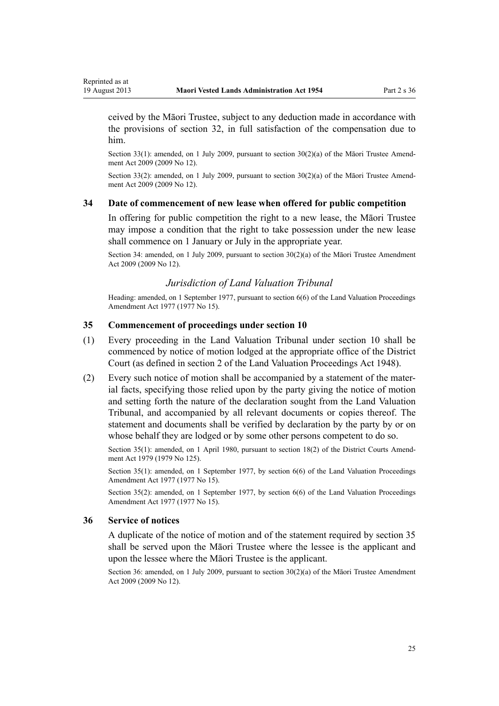<span id="page-24-0"></span>ceived by the Māori Trustee, subject to any deduction made in accordance with the provisions of [section 32](#page-22-0), in full satisfaction of the compensation due to him.

Section 33(1): amended, on 1 July 2009, pursuant to [section 30\(2\)\(a\)](http://prd-lgnz-nlb.prd.pco.net.nz/pdflink.aspx?id=DLM1583888) of the Māori Trustee Amendment Act 2009 (2009 No 12).

Section 33(2): amended, on 1 July 2009, pursuant to [section 30\(2\)\(a\)](http://prd-lgnz-nlb.prd.pco.net.nz/pdflink.aspx?id=DLM1583888) of the Māori Trustee Amendment Act 2009 (2009 No 12).

# **34 Date of commencement of new lease when offered for public competition**

In offering for public competition the right to a new lease, the Māori Trustee may impose a condition that the right to take possession under the new lease shall commence on 1 January or July in the appropriate year.

Section 34: amended, on 1 July 2009, pursuant to [section 30\(2\)\(a\)](http://prd-lgnz-nlb.prd.pco.net.nz/pdflink.aspx?id=DLM1583888) of the Māori Trustee Amendment Act 2009 (2009 No 12).

# *Jurisdiction of Land Valuation Tribunal*

Heading: amended, on 1 September 1977, pursuant to [section 6\(6\)](http://prd-lgnz-nlb.prd.pco.net.nz/pdflink.aspx?id=DLM442575) of the Land Valuation Proceedings Amendment Act 1977 (1977 No 15).

# **35 Commencement of proceedings under section 10**

- (1) Every proceeding in the Land Valuation Tribunal under [section 10](#page-10-0) shall be commenced by notice of motion lodged at the appropriate office of the District Court (as defined in [section 2](http://prd-lgnz-nlb.prd.pco.net.nz/pdflink.aspx?id=DLM249219) of the Land Valuation Proceedings Act 1948).
- (2) Every such notice of motion shall be accompanied by a statement of the material facts, specifying those relied upon by the party giving the notice of motion and setting forth the nature of the declaration sought from the Land Valuation Tribunal, and accompanied by all relevant documents or copies thereof. The statement and documents shall be verified by declaration by the party by or on whose behalf they are lodged or by some other persons competent to do so.

Section 35(1): amended, on 1 April 1980, pursuant to [section 18\(2\)](http://prd-lgnz-nlb.prd.pco.net.nz/pdflink.aspx?id=DLM35085) of the District Courts Amendment Act 1979 (1979 No 125).

Section 35(1): amended, on 1 September 1977, by [section 6\(6\)](http://prd-lgnz-nlb.prd.pco.net.nz/pdflink.aspx?id=DLM442575) of the Land Valuation Proceedings Amendment Act 1977 (1977 No 15).

Section 35(2): amended, on 1 September 1977, by [section 6\(6\)](http://prd-lgnz-nlb.prd.pco.net.nz/pdflink.aspx?id=DLM442575) of the Land Valuation Proceedings Amendment Act 1977 (1977 No 15).

#### **36 Service of notices**

A duplicate of the notice of motion and of the statement required by section 35 shall be served upon the Māori Trustee where the lessee is the applicant and upon the lessee where the Māori Trustee is the applicant.

Section 36: amended, on 1 July 2009, pursuant to [section 30\(2\)\(a\)](http://prd-lgnz-nlb.prd.pco.net.nz/pdflink.aspx?id=DLM1583888) of the Māori Trustee Amendment Act 2009 (2009 No 12).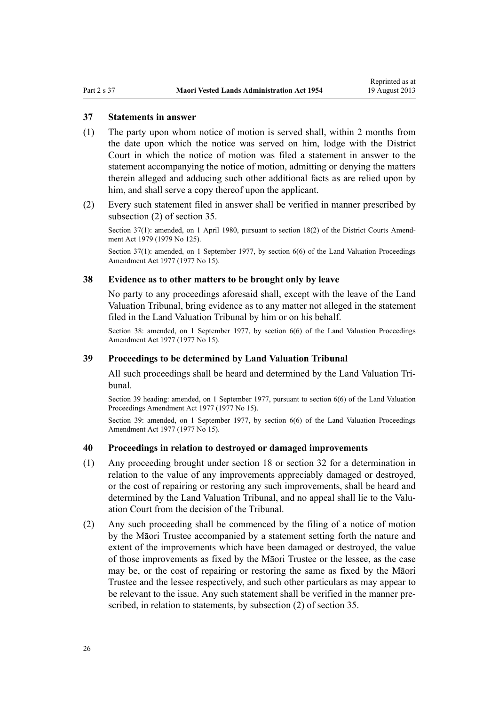#### <span id="page-25-0"></span>**37 Statements in answer**

- (1) The party upon whom notice of motion is served shall, within 2 months from the date upon which the notice was served on him, lodge with the District Court in which the notice of motion was filed a statement in answer to the statement accompanying the notice of motion, admitting or denying the matters therein alleged and adducing such other additional facts as are relied upon by him, and shall serve a copy thereof upon the applicant.
- (2) Every such statement filed in answer shall be verified in manner prescribed by subsection (2) of [section 35](#page-24-0).

Section 37(1): amended, on 1 April 1980, pursuant to [section 18\(2\)](http://prd-lgnz-nlb.prd.pco.net.nz/pdflink.aspx?id=DLM35085) of the District Courts Amendment Act 1979 (1979 No 125).

Section 37(1): amended, on 1 September 1977, by [section 6\(6\)](http://prd-lgnz-nlb.prd.pco.net.nz/pdflink.aspx?id=DLM442575) of the Land Valuation Proceedings Amendment Act 1977 (1977 No 15).

# **38 Evidence as to other matters to be brought only by leave**

No party to any proceedings aforesaid shall, except with the leave of the Land Valuation Tribunal, bring evidence as to any matter not alleged in the statement filed in the Land Valuation Tribunal by him or on his behalf.

Section 38: amended, on 1 September 1977, by [section 6\(6\)](http://prd-lgnz-nlb.prd.pco.net.nz/pdflink.aspx?id=DLM442575) of the Land Valuation Proceedings Amendment Act 1977 (1977 No 15).

## **39 Proceedings to be determined by Land Valuation Tribunal**

All such proceedings shall be heard and determined by the Land Valuation Tribunal.

Section 39 heading: amended, on 1 September 1977, pursuant to [section 6\(6\)](http://prd-lgnz-nlb.prd.pco.net.nz/pdflink.aspx?id=DLM442575) of the Land Valuation Proceedings Amendment Act 1977 (1977 No 15).

Section 39: amended, on 1 September 1977, by [section 6\(6\)](http://prd-lgnz-nlb.prd.pco.net.nz/pdflink.aspx?id=DLM442575) of the Land Valuation Proceedings Amendment Act 1977 (1977 No 15).

## **40 Proceedings in relation to destroyed or damaged improvements**

- (1) Any proceeding brought under [section 18](#page-15-0) or [section 32](#page-22-0) for a determination in relation to the value of any improvements appreciably damaged or destroyed, or the cost of repairing or restoring any such improvements, shall be heard and determined by the Land Valuation Tribunal, and no appeal shall lie to the Valuation Court from the decision of the Tribunal.
- (2) Any such proceeding shall be commenced by the filing of a notice of motion by the Māori Trustee accompanied by a statement setting forth the nature and extent of the improvements which have been damaged or destroyed, the value of those improvements as fixed by the Māori Trustee or the lessee, as the case may be, or the cost of repairing or restoring the same as fixed by the Māori Trustee and the lessee respectively, and such other particulars as may appear to be relevant to the issue. Any such statement shall be verified in the manner prescribed, in relation to statements, by subsection (2) of [section 35.](#page-24-0)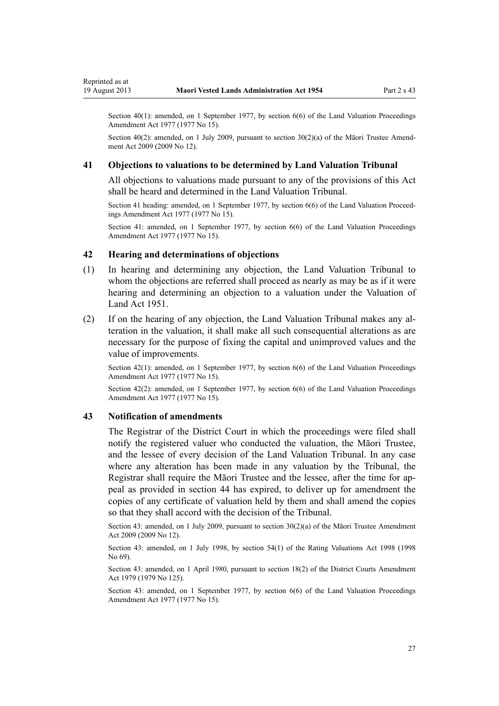<span id="page-26-0"></span>Section  $40(1)$ : amended, on 1 September 1977, by section  $6(6)$  of the Land Valuation Proceedings Amendment Act 1977 (1977 No 15).

Section 40(2): amended, on 1 July 2009, pursuant to [section 30\(2\)\(a\)](http://prd-lgnz-nlb.prd.pco.net.nz/pdflink.aspx?id=DLM1583888) of the Māori Trustee Amendment Act 2009 (2009 No 12).

# **41 Objections to valuations to be determined by Land Valuation Tribunal**

All objections to valuations made pursuant to any of the provisions of this Act shall be heard and determined in the Land Valuation Tribunal.

Section 41 heading: amended, on 1 September 1977, by [section 6\(6\)](http://prd-lgnz-nlb.prd.pco.net.nz/pdflink.aspx?id=DLM442575) of the Land Valuation Proceedings Amendment Act 1977 (1977 No 15).

Section 41: amended, on 1 September 1977, by [section 6\(6\)](http://prd-lgnz-nlb.prd.pco.net.nz/pdflink.aspx?id=DLM442575) of the Land Valuation Proceedings Amendment Act 1977 (1977 No 15).

# **42 Hearing and determinations of objections**

- (1) In hearing and determining any objection, the Land Valuation Tribunal to whom the objections are referred shall proceed as nearly as may be as if it were hearing and determining an objection to a valuation under the Valuation of Land Act 1951.
- (2) If on the hearing of any objection, the Land Valuation Tribunal makes any alteration in the valuation, it shall make all such consequential alterations as are necessary for the purpose of fixing the capital and unimproved values and the value of improvements.

Section 42(1): amended, on 1 September 1977, by [section 6\(6\)](http://prd-lgnz-nlb.prd.pco.net.nz/pdflink.aspx?id=DLM442575) of the Land Valuation Proceedings Amendment Act 1977 (1977 No 15).

Section 42(2): amended, on 1 September 1977, by [section 6\(6\)](http://prd-lgnz-nlb.prd.pco.net.nz/pdflink.aspx?id=DLM442575) of the Land Valuation Proceedings Amendment Act 1977 (1977 No 15).

# **43 Notification of amendments**

The Registrar of the District Court in which the proceedings were filed shall notify the registered valuer who conducted the valuation, the Māori Trustee, and the lessee of every decision of the Land Valuation Tribunal. In any case where any alteration has been made in any valuation by the Tribunal, the Registrar shall require the Māori Trustee and the lessee, after the time for appeal as provided in [section 44](#page-27-0) has expired, to deliver up for amendment the copies of any certificate of valuation held by them and shall amend the copies so that they shall accord with the decision of the Tribunal.

Section 43: amended, on 1 July 2009, pursuant to [section 30\(2\)\(a\)](http://prd-lgnz-nlb.prd.pco.net.nz/pdflink.aspx?id=DLM1583888) of the Māori Trustee Amendment Act 2009 (2009 No 12).

Section 43: amended, on 1 July 1998, by [section 54\(1\)](http://prd-lgnz-nlb.prd.pco.net.nz/pdflink.aspx?id=DLM427717) of the Rating Valuations Act 1998 (1998 No 69).

Section 43: amended, on 1 April 1980, pursuant to [section 18\(2\)](http://prd-lgnz-nlb.prd.pco.net.nz/pdflink.aspx?id=DLM35085) of the District Courts Amendment Act 1979 (1979 No 125).

Section 43: amended, on 1 September 1977, by [section 6\(6\)](http://prd-lgnz-nlb.prd.pco.net.nz/pdflink.aspx?id=DLM442575) of the Land Valuation Proceedings Amendment Act 1977 (1977 No 15).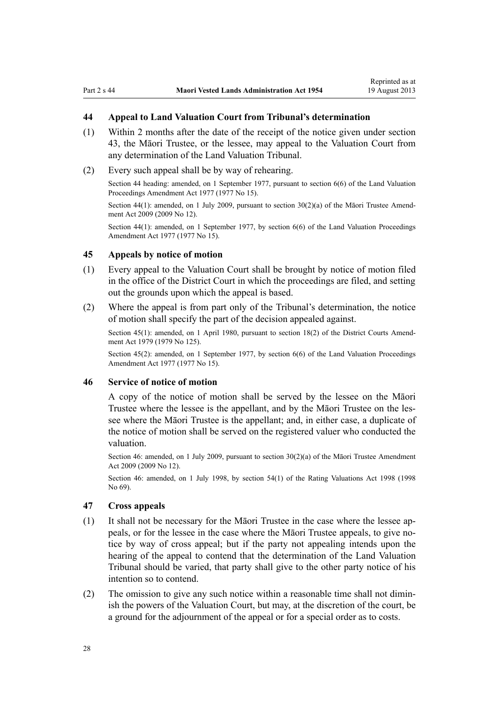# <span id="page-27-0"></span>**44 Appeal to Land Valuation Court from Tribunal's determination**

- (1) Within 2 months after the date of the receipt of the notice given under [section](#page-26-0) [43,](#page-26-0) the Māori Trustee, or the lessee, may appeal to the Valuation Court from any determination of the Land Valuation Tribunal.
- (2) Every such appeal shall be by way of rehearing.

Section 44 heading: amended, on 1 September 1977, pursuant to [section 6\(6\)](http://prd-lgnz-nlb.prd.pco.net.nz/pdflink.aspx?id=DLM442575) of the Land Valuation Proceedings Amendment Act 1977 (1977 No 15).

Section 44(1): amended, on 1 July 2009, pursuant to [section 30\(2\)\(a\)](http://prd-lgnz-nlb.prd.pco.net.nz/pdflink.aspx?id=DLM1583888) of the Māori Trustee Amendment Act 2009 (2009 No 12).

Section 44(1): amended, on 1 September 1977, by [section 6\(6\)](http://prd-lgnz-nlb.prd.pco.net.nz/pdflink.aspx?id=DLM442575) of the Land Valuation Proceedings Amendment Act 1977 (1977 No 15).

### **45 Appeals by notice of motion**

- (1) Every appeal to the Valuation Court shall be brought by notice of motion filed in the office of the District Court in which the proceedings are filed, and setting out the grounds upon which the appeal is based.
- (2) Where the appeal is from part only of the Tribunal's determination, the notice of motion shall specify the part of the decision appealed against.

Section 45(1): amended, on 1 April 1980, pursuant to [section 18\(2\)](http://prd-lgnz-nlb.prd.pco.net.nz/pdflink.aspx?id=DLM35085) of the District Courts Amendment Act 1979 (1979 No 125).

Section 45(2): amended, on 1 September 1977, by [section 6\(6\)](http://prd-lgnz-nlb.prd.pco.net.nz/pdflink.aspx?id=DLM442575) of the Land Valuation Proceedings Amendment Act 1977 (1977 No 15).

### **46 Service of notice of motion**

A copy of the notice of motion shall be served by the lessee on the Māori Trustee where the lessee is the appellant, and by the Māori Trustee on the lessee where the Māori Trustee is the appellant; and, in either case, a duplicate of the notice of motion shall be served on the registered valuer who conducted the valuation.

Section 46: amended, on 1 July 2009, pursuant to [section 30\(2\)\(a\)](http://prd-lgnz-nlb.prd.pco.net.nz/pdflink.aspx?id=DLM1583888) of the Maori Trustee Amendment Act 2009 (2009 No 12).

Section 46: amended, on 1 July 1998, by [section 54\(1\)](http://prd-lgnz-nlb.prd.pco.net.nz/pdflink.aspx?id=DLM427717) of the Rating Valuations Act 1998 (1998 No 69).

#### **47 Cross appeals**

- (1) It shall not be necessary for the Māori Trustee in the case where the lessee appeals, or for the lessee in the case where the Māori Trustee appeals, to give notice by way of cross appeal; but if the party not appealing intends upon the hearing of the appeal to contend that the determination of the Land Valuation Tribunal should be varied, that party shall give to the other party notice of his intention so to contend.
- (2) The omission to give any such notice within a reasonable time shall not diminish the powers of the Valuation Court, but may, at the discretion of the court, be a ground for the adjournment of the appeal or for a special order as to costs.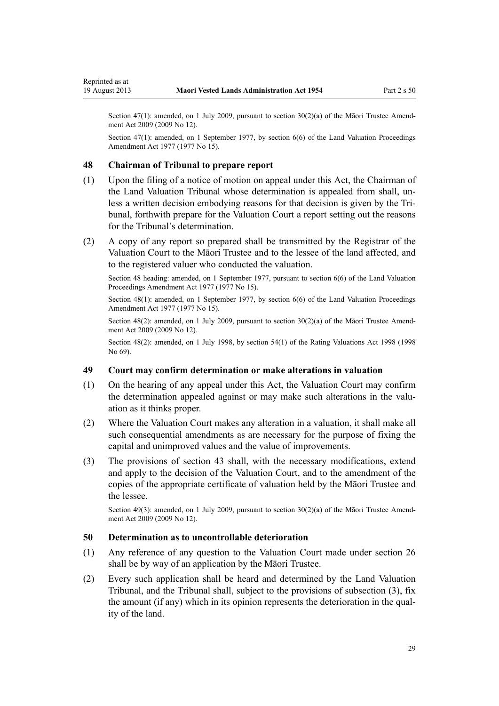<span id="page-28-0"></span>Section 47(1): amended, on 1 July 2009, pursuant to [section 30\(2\)\(a\)](http://prd-lgnz-nlb.prd.pco.net.nz/pdflink.aspx?id=DLM1583888) of the Maori Trustee Amendment Act 2009 (2009 No 12).

Section 47(1): amended, on 1 September 1977, by [section 6\(6\)](http://prd-lgnz-nlb.prd.pco.net.nz/pdflink.aspx?id=DLM442575) of the Land Valuation Proceedings Amendment Act 1977 (1977 No 15).

### **48 Chairman of Tribunal to prepare report**

- (1) Upon the filing of a notice of motion on appeal under this Act, the Chairman of the Land Valuation Tribunal whose determination is appealed from shall, unless a written decision embodying reasons for that decision is given by the Tribunal, forthwith prepare for the Valuation Court a report setting out the reasons for the Tribunal's determination.
- (2) A copy of any report so prepared shall be transmitted by the Registrar of the Valuation Court to the Māori Trustee and to the lessee of the land affected, and to the registered valuer who conducted the valuation.

Section 48 heading: amended, on 1 September 1977, pursuant to [section 6\(6\)](http://prd-lgnz-nlb.prd.pco.net.nz/pdflink.aspx?id=DLM442575) of the Land Valuation Proceedings Amendment Act 1977 (1977 No 15).

Section  $48(1)$ : amended, on 1 September 1977, by section  $6(6)$  of the Land Valuation Proceedings Amendment Act 1977 (1977 No 15).

Section 48(2): amended, on 1 July 2009, pursuant to [section 30\(2\)\(a\)](http://prd-lgnz-nlb.prd.pco.net.nz/pdflink.aspx?id=DLM1583888) of the Māori Trustee Amendment Act 2009 (2009 No 12).

Section 48(2): amended, on 1 July 1998, by [section 54\(1\)](http://prd-lgnz-nlb.prd.pco.net.nz/pdflink.aspx?id=DLM427717) of the Rating Valuations Act 1998 (1998 No 69).

# **49 Court may confirm determination or make alterations in valuation**

- (1) On the hearing of any appeal under this Act, the Valuation Court may confirm the determination appealed against or may make such alterations in the valuation as it thinks proper.
- (2) Where the Valuation Court makes any alteration in a valuation, it shall make all such consequential amendments as are necessary for the purpose of fixing the capital and unimproved values and the value of improvements.
- (3) The provisions of [section 43](#page-26-0) shall, with the necessary modifications, extend and apply to the decision of the Valuation Court, and to the amendment of the copies of the appropriate certificate of valuation held by the Māori Trustee and the lessee.

Section 49(3): amended, on 1 July 2009, pursuant to [section 30\(2\)\(a\)](http://prd-lgnz-nlb.prd.pco.net.nz/pdflink.aspx?id=DLM1583888) of the Māori Trustee Amendment Act 2009 (2009 No 12).

### **50 Determination as to uncontrollable deterioration**

- (1) Any reference of any question to the Valuation Court made under [section 26](#page-18-0) shall be by way of an application by the Māori Trustee.
- (2) Every such application shall be heard and determined by the Land Valuation Tribunal, and the Tribunal shall, subject to the provisions of subsection (3), fix the amount (if any) which in its opinion represents the deterioration in the quality of the land.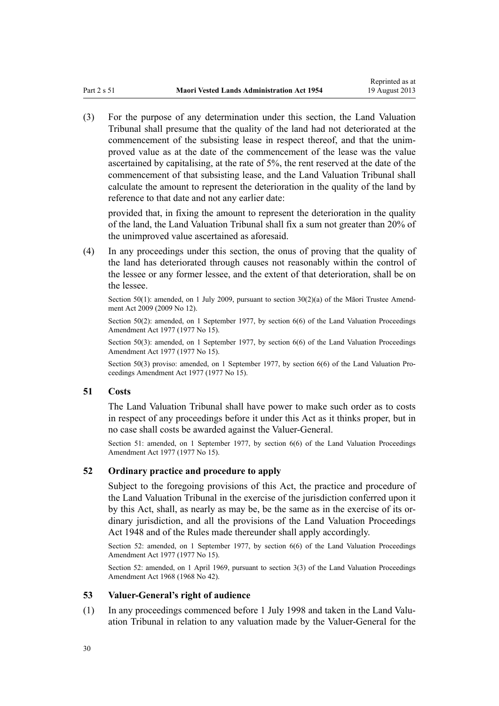<span id="page-29-0"></span>(3) For the purpose of any determination under this section, the Land Valuation Tribunal shall presume that the quality of the land had not deteriorated at the commencement of the subsisting lease in respect thereof, and that the unimproved value as at the date of the commencement of the lease was the value ascertained by capitalising, at the rate of 5%, the rent reserved at the date of the commencement of that subsisting lease, and the Land Valuation Tribunal shall calculate the amount to represent the deterioration in the quality of the land by reference to that date and not any earlier date:

provided that, in fixing the amount to represent the deterioration in the quality of the land, the Land Valuation Tribunal shall fix a sum not greater than 20% of the unimproved value ascertained as aforesaid.

(4) In any proceedings under this section, the onus of proving that the quality of the land has deteriorated through causes not reasonably within the control of the lessee or any former lessee, and the extent of that deterioration, shall be on the lessee.

Section 50(1): amended, on 1 July 2009, pursuant to [section 30\(2\)\(a\)](http://prd-lgnz-nlb.prd.pco.net.nz/pdflink.aspx?id=DLM1583888) of the Maori Trustee Amendment Act 2009 (2009 No 12).

Section 50(2): amended, on 1 September 1977, by [section 6\(6\)](http://prd-lgnz-nlb.prd.pco.net.nz/pdflink.aspx?id=DLM442575) of the Land Valuation Proceedings Amendment Act 1977 (1977 No 15).

Section 50(3): amended, on 1 September 1977, by [section 6\(6\)](http://prd-lgnz-nlb.prd.pco.net.nz/pdflink.aspx?id=DLM442575) of the Land Valuation Proceedings Amendment Act 1977 (1977 No 15).

Section 50(3) proviso: amended, on 1 September 1977, by [section 6\(6\)](http://prd-lgnz-nlb.prd.pco.net.nz/pdflink.aspx?id=DLM442575) of the Land Valuation Proceedings Amendment Act 1977 (1977 No 15).

# **51 Costs**

The Land Valuation Tribunal shall have power to make such order as to costs in respect of any proceedings before it under this Act as it thinks proper, but in no case shall costs be awarded against the Valuer-General.

Section 51: amended, on 1 September 1977, by [section 6\(6\)](http://prd-lgnz-nlb.prd.pco.net.nz/pdflink.aspx?id=DLM442575) of the Land Valuation Proceedings Amendment Act 1977 (1977 No 15).

### **52 Ordinary practice and procedure to apply**

Subject to the foregoing provisions of this Act, the practice and procedure of the Land Valuation Tribunal in the exercise of the jurisdiction conferred upon it by this Act, shall, as nearly as may be, be the same as in the exercise of its ordinary jurisdiction, and all the provisions of the [Land Valuation Proceedings](http://prd-lgnz-nlb.prd.pco.net.nz/pdflink.aspx?id=DLM249212) [Act 1948](http://prd-lgnz-nlb.prd.pco.net.nz/pdflink.aspx?id=DLM249212) and of the Rules made thereunder shall apply accordingly.

Section 52: amended, on 1 September 1977, by [section 6\(6\)](http://prd-lgnz-nlb.prd.pco.net.nz/pdflink.aspx?id=DLM442575) of the Land Valuation Proceedings Amendment Act 1977 (1977 No 15).

Section 52: amended, on 1 April 1969, pursuant to [section 3\(3\)](http://prd-lgnz-nlb.prd.pco.net.nz/pdflink.aspx?id=DLM388233) of the Land Valuation Proceedings Amendment Act 1968 (1968 No 42).

#### **53 Valuer-General's right of audience**

(1) In any proceedings commenced before 1 July 1998 and taken in the Land Valuation Tribunal in relation to any valuation made by the Valuer-General for the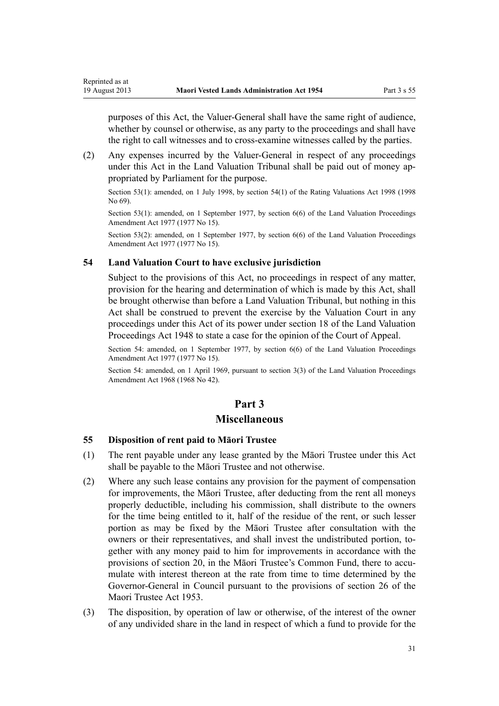purposes of this Act, the Valuer-General shall have the same right of audience, whether by counsel or otherwise, as any party to the proceedings and shall have the right to call witnesses and to cross-examine witnesses called by the parties.

(2) Any expenses incurred by the Valuer-General in respect of any proceedings under this Act in the Land Valuation Tribunal shall be paid out of money appropriated by Parliament for the purpose.

Section 53(1): amended, on 1 July 1998, by [section 54\(1\)](http://prd-lgnz-nlb.prd.pco.net.nz/pdflink.aspx?id=DLM427717) of the Rating Valuations Act 1998 (1998 No 69).

Section 53(1): amended, on 1 September 1977, by [section 6\(6\)](http://prd-lgnz-nlb.prd.pco.net.nz/pdflink.aspx?id=DLM442575) of the Land Valuation Proceedings Amendment Act 1977 (1977 No 15).

Section 53(2): amended, on 1 September 1977, by [section 6\(6\)](http://prd-lgnz-nlb.prd.pco.net.nz/pdflink.aspx?id=DLM442575) of the Land Valuation Proceedings Amendment Act 1977 (1977 No 15).

# **54 Land Valuation Court to have exclusive jurisdiction**

<span id="page-30-0"></span>Reprinted as at

Subject to the provisions of this Act, no proceedings in respect of any matter, provision for the hearing and determination of which is made by this Act, shall be brought otherwise than before a Land Valuation Tribunal, but nothing in this Act shall be construed to prevent the exercise by the Valuation Court in any proceedings under this Act of its power under [section 18](http://prd-lgnz-nlb.prd.pco.net.nz/pdflink.aspx?id=DLM249280) of the Land Valuation Proceedings Act 1948 to state a case for the opinion of the Court of Appeal.

Section 54: amended, on 1 September 1977, by [section 6\(6\)](http://prd-lgnz-nlb.prd.pco.net.nz/pdflink.aspx?id=DLM442575) of the Land Valuation Proceedings Amendment Act 1977 (1977 No 15).

Section 54: amended, on 1 April 1969, pursuant to [section 3\(3\)](http://prd-lgnz-nlb.prd.pco.net.nz/pdflink.aspx?id=DLM388233) of the Land Valuation Proceedings Amendment Act 1968 (1968 No 42).

# **Part 3**

# **Miscellaneous**

#### **55 Disposition of rent paid to Māori Trustee**

- (1) The rent payable under any lease granted by the Māori Trustee under this Act shall be payable to the Māori Trustee and not otherwise.
- (2) Where any such lease contains any provision for the payment of compensation for improvements, the Māori Trustee, after deducting from the rent all moneys properly deductible, including his commission, shall distribute to the owners for the time being entitled to it, half of the residue of the rent, or such lesser portion as may be fixed by the Māori Trustee after consultation with the owners or their representatives, and shall invest the undistributed portion, together with any money paid to him for improvements in accordance with the provisions of [section 20,](#page-16-0) in the Māori Trustee's Common Fund, there to accumulate with interest thereon at the rate from time to time determined by the Governor-General in Council pursuant to the provisions of [section 26](http://prd-lgnz-nlb.prd.pco.net.nz/pdflink.aspx?id=DLM282745) of the Maori Trustee Act 1953.
- (3) The disposition, by operation of law or otherwise, of the interest of the owner of any undivided share in the land in respect of which a fund to provide for the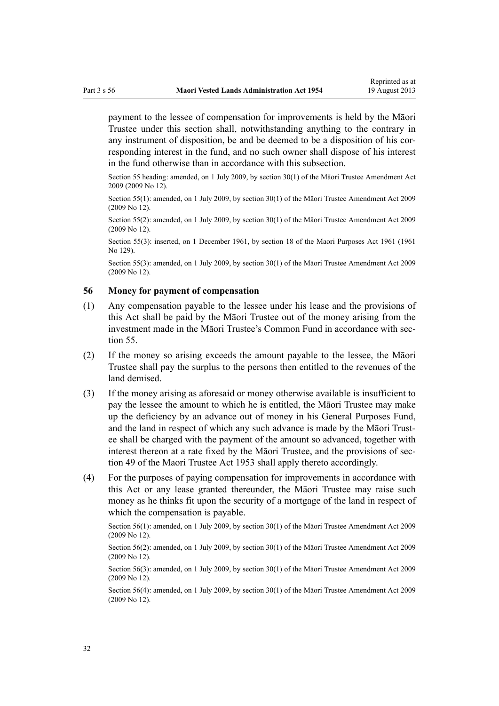<span id="page-31-0"></span>payment to the lessee of compensation for improvements is held by the Māori Trustee under this section shall, notwithstanding anything to the contrary in any instrument of disposition, be and be deemed to be a disposition of his corresponding interest in the fund, and no such owner shall dispose of his interest in the fund otherwise than in accordance with this subsection.

Section 55 heading: amended, on 1 July 2009, by [section 30\(1\)](http://prd-lgnz-nlb.prd.pco.net.nz/pdflink.aspx?id=DLM1583888) of the Māori Trustee Amendment Act 2009 (2009 No 12).

Section 55(1): amended, on 1 July 2009, by [section 30\(1\)](http://prd-lgnz-nlb.prd.pco.net.nz/pdflink.aspx?id=DLM1583888) of the Māori Trustee Amendment Act 2009 (2009 No 12).

Section 55(2): amended, on 1 July 2009, by [section 30\(1\)](http://prd-lgnz-nlb.prd.pco.net.nz/pdflink.aspx?id=DLM1583888) of the Māori Trustee Amendment Act 2009 (2009 No 12).

Section 55(3): inserted, on 1 December 1961, by [section 18](http://prd-lgnz-nlb.prd.pco.net.nz/pdflink.aspx?id=DLM338481) of the Maori Purposes Act 1961 (1961 No 129).

Section 55(3): amended, on 1 July 2009, by [section 30\(1\)](http://prd-lgnz-nlb.prd.pco.net.nz/pdflink.aspx?id=DLM1583888) of the Māori Trustee Amendment Act 2009 (2009 No 12).

# **56 Money for payment of compensation**

- (1) Any compensation payable to the lessee under his lease and the provisions of this Act shall be paid by the Māori Trustee out of the money arising from the investment made in the Māori Trustee's Common Fund in accordance with [sec](#page-30-0)[tion 55](#page-30-0).
- (2) If the money so arising exceeds the amount payable to the lessee, the Māori Trustee shall pay the surplus to the persons then entitled to the revenues of the land demised.
- (3) If the money arising as aforesaid or money otherwise available is insufficient to pay the lessee the amount to which he is entitled, the Māori Trustee may make up the deficiency by an advance out of money in his General Purposes Fund, and the land in respect of which any such advance is made by the Māori Trustee shall be charged with the payment of the amount so advanced, together with interest thereon at a rate fixed by the Māori Trustee, and the provisions of [sec](http://prd-lgnz-nlb.prd.pco.net.nz/pdflink.aspx?id=DLM282955)[tion 49](http://prd-lgnz-nlb.prd.pco.net.nz/pdflink.aspx?id=DLM282955) of the Maori Trustee Act 1953 shall apply thereto accordingly.
- (4) For the purposes of paying compensation for improvements in accordance with this Act or any lease granted thereunder, the Māori Trustee may raise such money as he thinks fit upon the security of a mortgage of the land in respect of which the compensation is payable.

Section 56(1): amended, on 1 July 2009, by [section 30\(1\)](http://prd-lgnz-nlb.prd.pco.net.nz/pdflink.aspx?id=DLM1583888) of the Māori Trustee Amendment Act 2009 (2009 No 12).

Section 56(2): amended, on 1 July 2009, by [section 30\(1\)](http://prd-lgnz-nlb.prd.pco.net.nz/pdflink.aspx?id=DLM1583888) of the Māori Trustee Amendment Act 2009 (2009 No 12).

Section 56(3): amended, on 1 July 2009, by [section 30\(1\)](http://prd-lgnz-nlb.prd.pco.net.nz/pdflink.aspx?id=DLM1583888) of the Māori Trustee Amendment Act 2009 (2009 No 12).

Section 56(4): amended, on 1 July 2009, by [section 30\(1\)](http://prd-lgnz-nlb.prd.pco.net.nz/pdflink.aspx?id=DLM1583888) of the Māori Trustee Amendment Act 2009 (2009 No 12).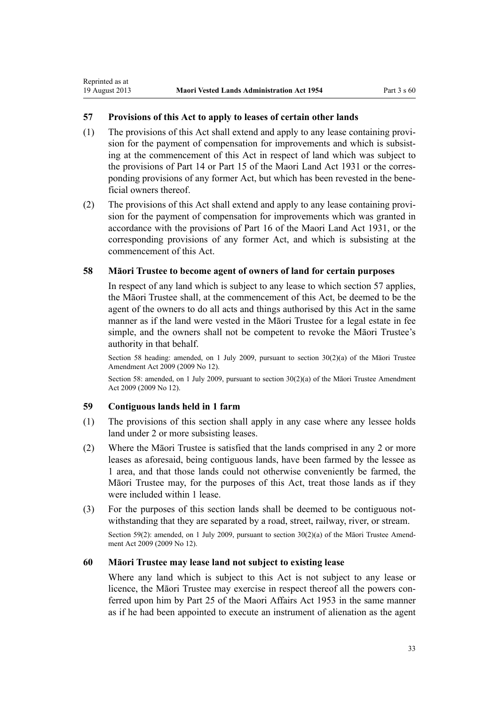# **57 Provisions of this Act to apply to leases of certain other lands**

- (1) The provisions of this Act shall extend and apply to any lease containing provision for the payment of compensation for improvements and which is subsisting at the commencement of this Act in respect of land which was subject to the provisions of Part 14 or Part 15 of the Maori Land Act 1931 or the corresponding provisions of any former Act, but which has been revested in the beneficial owners thereof.
- (2) The provisions of this Act shall extend and apply to any lease containing provision for the payment of compensation for improvements which was granted in accordance with the provisions of Part 16 of the Maori Land Act 1931, or the corresponding provisions of any former Act, and which is subsisting at the commencement of this Act.

### **58 Māori Trustee to become agent of owners of land for certain purposes**

In respect of any land which is subject to any lease to which section 57 applies, the Māori Trustee shall, at the commencement of this Act, be deemed to be the agent of the owners to do all acts and things authorised by this Act in the same manner as if the land were vested in the Māori Trustee for a legal estate in fee simple, and the owners shall not be competent to revoke the Māori Trustee's authority in that behalf.

Section 58 heading: amended, on 1 July 2009, pursuant to [section 30\(2\)\(a\)](http://prd-lgnz-nlb.prd.pco.net.nz/pdflink.aspx?id=DLM1583888) of the Māori Trustee Amendment Act 2009 (2009 No 12).

Section 58: amended, on 1 July 2009, pursuant to [section 30\(2\)\(a\)](http://prd-lgnz-nlb.prd.pco.net.nz/pdflink.aspx?id=DLM1583888) of the Māori Trustee Amendment Act 2009 (2009 No 12).

# **59 Contiguous lands held in 1 farm**

<span id="page-32-0"></span>Reprinted as at

- (1) The provisions of this section shall apply in any case where any lessee holds land under 2 or more subsisting leases.
- (2) Where the Māori Trustee is satisfied that the lands comprised in any 2 or more leases as aforesaid, being contiguous lands, have been farmed by the lessee as 1 area, and that those lands could not otherwise conveniently be farmed, the Māori Trustee may, for the purposes of this Act, treat those lands as if they were included within 1 lease.
- (3) For the purposes of this section lands shall be deemed to be contiguous notwithstanding that they are separated by a road, street, railway, river, or stream. Section 59(2): amended, on 1 July 2009, pursuant to [section 30\(2\)\(a\)](http://prd-lgnz-nlb.prd.pco.net.nz/pdflink.aspx?id=DLM1583888) of the Māori Trustee Amendment Act 2009 (2009 No 12).

#### **60 Māori Trustee may lease land not subject to existing lease**

Where any land which is subject to this Act is not subject to any lease or licence, the Māori Trustee may exercise in respect thereof all the powers conferred upon him by Part 25 of the Maori Affairs Act 1953 in the same manner as if he had been appointed to execute an instrument of alienation as the agent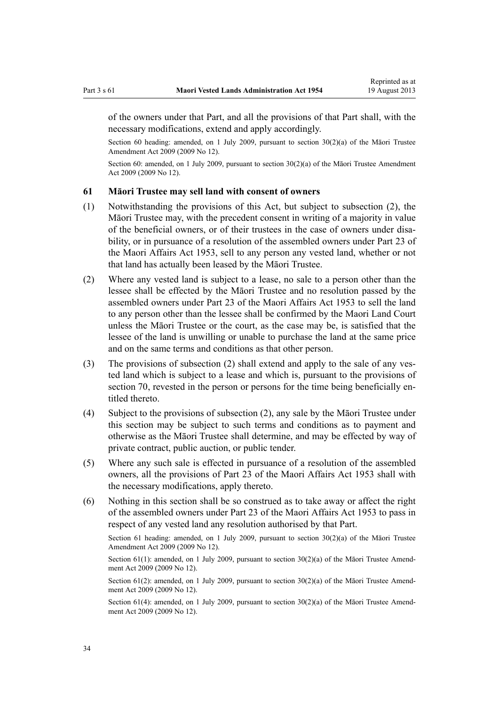<span id="page-33-0"></span>of the owners under that Part, and all the provisions of that Part shall, with the necessary modifications, extend and apply accordingly.

Section 60 heading: amended, on 1 July 2009, pursuant to [section 30\(2\)\(a\)](http://prd-lgnz-nlb.prd.pco.net.nz/pdflink.aspx?id=DLM1583888) of the Māori Trustee Amendment Act 2009 (2009 No 12).

Section 60: amended, on 1 July 2009, pursuant to [section 30\(2\)\(a\)](http://prd-lgnz-nlb.prd.pco.net.nz/pdflink.aspx?id=DLM1583888) of the Māori Trustee Amendment Act 2009 (2009 No 12).

# **61 Māori Trustee may sell land with consent of owners**

- (1) Notwithstanding the provisions of this Act, but subject to subsection (2), the Māori Trustee may, with the precedent consent in writing of a majority in value of the beneficial owners, or of their trustees in the case of owners under disability, or in pursuance of a resolution of the assembled owners under Part 23 of the Maori Affairs Act 1953, sell to any person any vested land, whether or not that land has actually been leased by the Māori Trustee.
- (2) Where any vested land is subject to a lease, no sale to a person other than the lessee shall be effected by the Māori Trustee and no resolution passed by the assembled owners under Part 23 of the Maori Affairs Act 1953 to sell the land to any person other than the lessee shall be confirmed by the Maori Land Court unless the Māori Trustee or the court, as the case may be, is satisfied that the lessee of the land is unwilling or unable to purchase the land at the same price and on the same terms and conditions as that other person.
- (3) The provisions of subsection (2) shall extend and apply to the sale of any vested land which is subject to a lease and which is, pursuant to the provisions of [section 70](#page-37-0), revested in the person or persons for the time being beneficially entitled thereto.
- (4) Subject to the provisions of subsection (2), any sale by the Māori Trustee under this section may be subject to such terms and conditions as to payment and otherwise as the Māori Trustee shall determine, and may be effected by way of private contract, public auction, or public tender.
- (5) Where any such sale is effected in pursuance of a resolution of the assembled owners, all the provisions of Part 23 of the Maori Affairs Act 1953 shall with the necessary modifications, apply thereto.
- (6) Nothing in this section shall be so construed as to take away or affect the right of the assembled owners under Part 23 of the Maori Affairs Act 1953 to pass in respect of any vested land any resolution authorised by that Part.

Section 61 heading: amended, on 1 July 2009, pursuant to section  $30(2)(a)$  of the Maori Trustee Amendment Act 2009 (2009 No 12).

Section  $61(1)$ : amended, on 1 July 2009, pursuant to section  $30(2)(a)$  of the Matori Trustee Amendment Act 2009 (2009 No 12).

Section 61(2): amended, on 1 July 2009, pursuant to [section 30\(2\)\(a\)](http://prd-lgnz-nlb.prd.pco.net.nz/pdflink.aspx?id=DLM1583888) of the Maori Trustee Amendment Act 2009 (2009 No 12).

Section 61(4): amended, on 1 July 2009, pursuant to section  $30(2)(a)$  of the Matori Trustee Amendment Act 2009 (2009 No 12).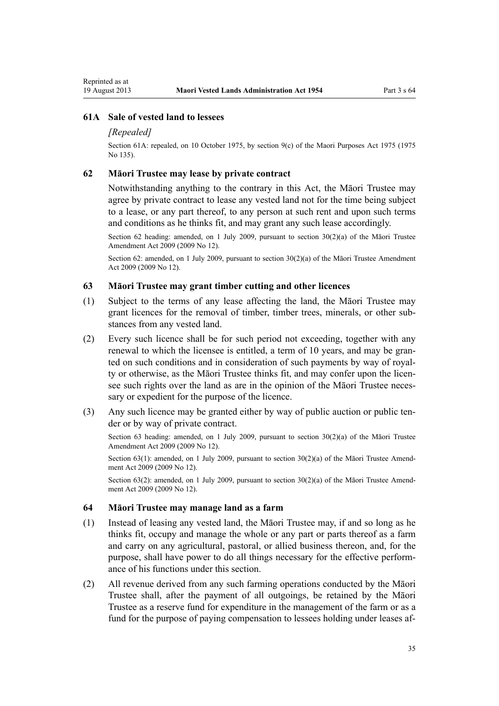# <span id="page-34-0"></span>**61A Sale of vested land to lessees**

### *[Repealed]*

Section 61A: repealed, on 10 October 1975, by [section 9\(c\)](http://prd-lgnz-nlb.prd.pco.net.nz/pdflink.aspx?id=DLM437759) of the Maori Purposes Act 1975 (1975 No 135).

#### **62 Māori Trustee may lease by private contract**

Notwithstanding anything to the contrary in this Act, the Māori Trustee may agree by private contract to lease any vested land not for the time being subject to a lease, or any part thereof, to any person at such rent and upon such terms and conditions as he thinks fit, and may grant any such lease accordingly.

Section 62 heading: amended, on 1 July 2009, pursuant to section  $30(2)(a)$  of the Maori Trustee Amendment Act 2009 (2009 No 12).

Section 62: amended, on 1 July 2009, pursuant to [section 30\(2\)\(a\)](http://prd-lgnz-nlb.prd.pco.net.nz/pdflink.aspx?id=DLM1583888) of the Māori Trustee Amendment Act 2009 (2009 No 12).

### **63 Māori Trustee may grant timber cutting and other licences**

- (1) Subject to the terms of any lease affecting the land, the Māori Trustee may grant licences for the removal of timber, timber trees, minerals, or other substances from any vested land.
- (2) Every such licence shall be for such period not exceeding, together with any renewal to which the licensee is entitled, a term of 10 years, and may be granted on such conditions and in consideration of such payments by way of royalty or otherwise, as the Māori Trustee thinks fit, and may confer upon the licensee such rights over the land as are in the opinion of the Māori Trustee necessary or expedient for the purpose of the licence.
- (3) Any such licence may be granted either by way of public auction or public tender or by way of private contract.

Section 63 heading: amended, on 1 July 2009, pursuant to section  $30(2)(a)$  of the Maori Trustee Amendment Act 2009 (2009 No 12).

Section 63(1): amended, on 1 July 2009, pursuant to [section 30\(2\)\(a\)](http://prd-lgnz-nlb.prd.pco.net.nz/pdflink.aspx?id=DLM1583888) of the Māori Trustee Amendment Act 2009 (2009 No 12).

Section 63(2): amended, on 1 July 2009, pursuant to [section 30\(2\)\(a\)](http://prd-lgnz-nlb.prd.pco.net.nz/pdflink.aspx?id=DLM1583888) of the Māori Trustee Amendment Act 2009 (2009 No 12).

#### **64 Māori Trustee may manage land as a farm**

- (1) Instead of leasing any vested land, the Māori Trustee may, if and so long as he thinks fit, occupy and manage the whole or any part or parts thereof as a farm and carry on any agricultural, pastoral, or allied business thereon, and, for the purpose, shall have power to do all things necessary for the effective performance of his functions under this section.
- (2) All revenue derived from any such farming operations conducted by the Māori Trustee shall, after the payment of all outgoings, be retained by the Māori Trustee as a reserve fund for expenditure in the management of the farm or as a fund for the purpose of paying compensation to lessees holding under leases af-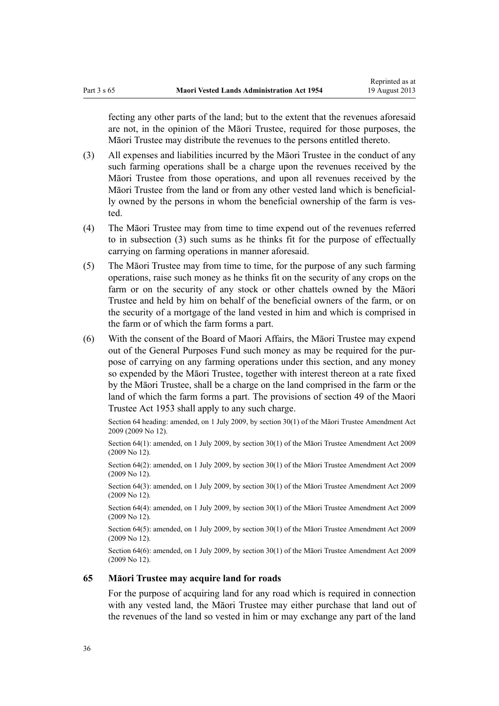<span id="page-35-0"></span>fecting any other parts of the land; but to the extent that the revenues aforesaid are not, in the opinion of the Māori Trustee, required for those purposes, the Māori Trustee may distribute the revenues to the persons entitled thereto.

- (3) All expenses and liabilities incurred by the Māori Trustee in the conduct of any such farming operations shall be a charge upon the revenues received by the Māori Trustee from those operations, and upon all revenues received by the Māori Trustee from the land or from any other vested land which is beneficially owned by the persons in whom the beneficial ownership of the farm is vested.
- (4) The Māori Trustee may from time to time expend out of the revenues referred to in subsection (3) such sums as he thinks fit for the purpose of effectually carrying on farming operations in manner aforesaid.
- (5) The Māori Trustee may from time to time, for the purpose of any such farming operations, raise such money as he thinks fit on the security of any crops on the farm or on the security of any stock or other chattels owned by the Māori Trustee and held by him on behalf of the beneficial owners of the farm, or on the security of a mortgage of the land vested in him and which is comprised in the farm or of which the farm forms a part.
- (6) With the consent of the Board of Maori Affairs, the Māori Trustee may expend out of the General Purposes Fund such money as may be required for the purpose of carrying on any farming operations under this section, and any money so expended by the Māori Trustee, together with interest thereon at a rate fixed by the Māori Trustee, shall be a charge on the land comprised in the farm or the land of which the farm forms a part. The provisions of [section 49](http://prd-lgnz-nlb.prd.pco.net.nz/pdflink.aspx?id=DLM282955) of the Maori Trustee Act 1953 shall apply to any such charge.

Section 64 heading: amended, on 1 July 2009, by [section 30\(1\)](http://prd-lgnz-nlb.prd.pco.net.nz/pdflink.aspx?id=DLM1583888) of the Māori Trustee Amendment Act 2009 (2009 No 12).

Section 64(1): amended, on 1 July 2009, by [section 30\(1\)](http://prd-lgnz-nlb.prd.pco.net.nz/pdflink.aspx?id=DLM1583888) of the Māori Trustee Amendment Act 2009 (2009 No 12).

Section 64(2): amended, on 1 July 2009, by [section 30\(1\)](http://prd-lgnz-nlb.prd.pco.net.nz/pdflink.aspx?id=DLM1583888) of the Maori Trustee Amendment Act 2009 (2009 No 12).

Section 64(3): amended, on 1 July 2009, by [section 30\(1\)](http://prd-lgnz-nlb.prd.pco.net.nz/pdflink.aspx?id=DLM1583888) of the Māori Trustee Amendment Act 2009 (2009 No 12).

Section 64(4): amended, on 1 July 2009, by [section 30\(1\)](http://prd-lgnz-nlb.prd.pco.net.nz/pdflink.aspx?id=DLM1583888) of the Māori Trustee Amendment Act 2009 (2009 No 12).

Section 64(5): amended, on 1 July 2009, by [section 30\(1\)](http://prd-lgnz-nlb.prd.pco.net.nz/pdflink.aspx?id=DLM1583888) of the Māori Trustee Amendment Act 2009 (2009 No 12).

Section 64(6): amended, on 1 July 2009, by [section 30\(1\)](http://prd-lgnz-nlb.prd.pco.net.nz/pdflink.aspx?id=DLM1583888) of the Māori Trustee Amendment Act 2009 (2009 No 12).

### **65 Māori Trustee may acquire land for roads**

For the purpose of acquiring land for any road which is required in connection with any vested land, the Māori Trustee may either purchase that land out of the revenues of the land so vested in him or may exchange any part of the land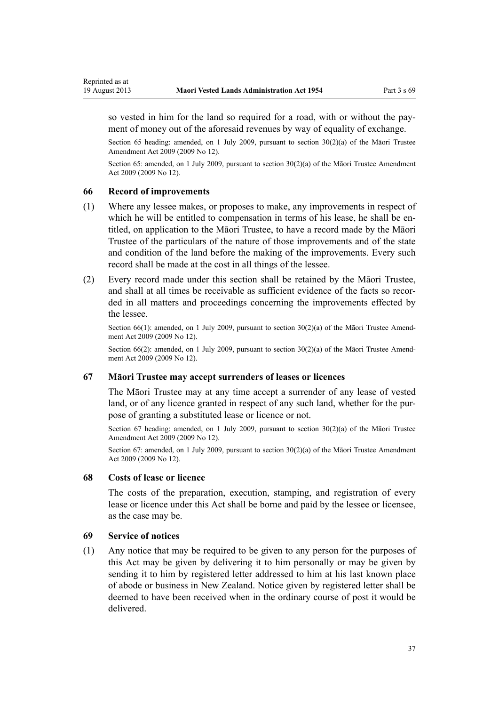<span id="page-36-0"></span>so vested in him for the land so required for a road, with or without the payment of money out of the aforesaid revenues by way of equality of exchange.

Section 65 heading: amended, on 1 July 2009, pursuant to [section 30\(2\)\(a\)](http://prd-lgnz-nlb.prd.pco.net.nz/pdflink.aspx?id=DLM1583888) of the Māori Trustee Amendment Act 2009 (2009 No 12).

Section 65: amended, on 1 July 2009, pursuant to [section 30\(2\)\(a\)](http://prd-lgnz-nlb.prd.pco.net.nz/pdflink.aspx?id=DLM1583888) of the Māori Trustee Amendment Act 2009 (2009 No 12).

#### **66 Record of improvements**

- (1) Where any lessee makes, or proposes to make, any improvements in respect of which he will be entitled to compensation in terms of his lease, he shall be entitled, on application to the Māori Trustee, to have a record made by the Māori Trustee of the particulars of the nature of those improvements and of the state and condition of the land before the making of the improvements. Every such record shall be made at the cost in all things of the lessee.
- (2) Every record made under this section shall be retained by the Māori Trustee, and shall at all times be receivable as sufficient evidence of the facts so recorded in all matters and proceedings concerning the improvements effected by the lessee.

Section 66(1): amended, on 1 July 2009, pursuant to [section 30\(2\)\(a\)](http://prd-lgnz-nlb.prd.pco.net.nz/pdflink.aspx?id=DLM1583888) of the Māori Trustee Amendment Act 2009 (2009 No 12).

Section 66(2): amended, on 1 July 2009, pursuant to [section 30\(2\)\(a\)](http://prd-lgnz-nlb.prd.pco.net.nz/pdflink.aspx?id=DLM1583888) of the Maori Trustee Amendment Act 2009 (2009 No 12).

### **67 Māori Trustee may accept surrenders of leases or licences**

The Māori Trustee may at any time accept a surrender of any lease of vested land, or of any licence granted in respect of any such land, whether for the purpose of granting a substituted lease or licence or not.

Section 67 heading: amended, on 1 July 2009, pursuant to section  $30(2)(a)$  of the Maori Trustee Amendment Act 2009 (2009 No 12).

Section 67: amended, on 1 July 2009, pursuant to [section 30\(2\)\(a\)](http://prd-lgnz-nlb.prd.pco.net.nz/pdflink.aspx?id=DLM1583888) of the Māori Trustee Amendment Act 2009 (2009 No 12).

#### **68 Costs of lease or licence**

The costs of the preparation, execution, stamping, and registration of every lease or licence under this Act shall be borne and paid by the lessee or licensee, as the case may be.

### **69 Service of notices**

(1) Any notice that may be required to be given to any person for the purposes of this Act may be given by delivering it to him personally or may be given by sending it to him by registered letter addressed to him at his last known place of abode or business in New Zealand. Notice given by registered letter shall be deemed to have been received when in the ordinary course of post it would be delivered.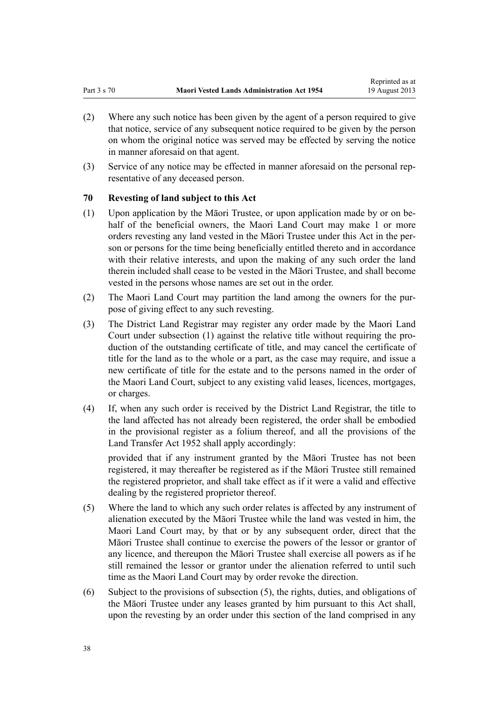- <span id="page-37-0"></span>(2) Where any such notice has been given by the agent of a person required to give that notice, service of any subsequent notice required to be given by the person on whom the original notice was served may be effected by serving the notice in manner aforesaid on that agent.
- (3) Service of any notice may be effected in manner aforesaid on the personal representative of any deceased person.

# **70 Revesting of land subject to this Act**

- (1) Upon application by the Māori Trustee, or upon application made by or on behalf of the beneficial owners, the Maori Land Court may make 1 or more orders revesting any land vested in the Māori Trustee under this Act in the person or persons for the time being beneficially entitled thereto and in accordance with their relative interests, and upon the making of any such order the land therein included shall cease to be vested in the Māori Trustee, and shall become vested in the persons whose names are set out in the order.
- (2) The Maori Land Court may partition the land among the owners for the purpose of giving effect to any such revesting.
- (3) The District Land Registrar may register any order made by the Maori Land Court under subsection (1) against the relative title without requiring the production of the outstanding certificate of title, and may cancel the certificate of title for the land as to the whole or a part, as the case may require, and issue a new certificate of title for the estate and to the persons named in the order of the Maori Land Court, subject to any existing valid leases, licences, mortgages, or charges.
- (4) If, when any such order is received by the District Land Registrar, the title to the land affected has not already been registered, the order shall be embodied in the provisional register as a folium thereof, and all the provisions of the [Land Transfer Act 1952](http://prd-lgnz-nlb.prd.pco.net.nz/pdflink.aspx?id=DLM269031) shall apply accordingly:

provided that if any instrument granted by the Māori Trustee has not been registered, it may thereafter be registered as if the Māori Trustee still remained the registered proprietor, and shall take effect as if it were a valid and effective dealing by the registered proprietor thereof.

- (5) Where the land to which any such order relates is affected by any instrument of alienation executed by the Māori Trustee while the land was vested in him, the Maori Land Court may, by that or by any subsequent order, direct that the Māori Trustee shall continue to exercise the powers of the lessor or grantor of any licence, and thereupon the Māori Trustee shall exercise all powers as if he still remained the lessor or grantor under the alienation referred to until such time as the Maori Land Court may by order revoke the direction.
- (6) Subject to the provisions of subsection (5), the rights, duties, and obligations of the Māori Trustee under any leases granted by him pursuant to this Act shall, upon the revesting by an order under this section of the land comprised in any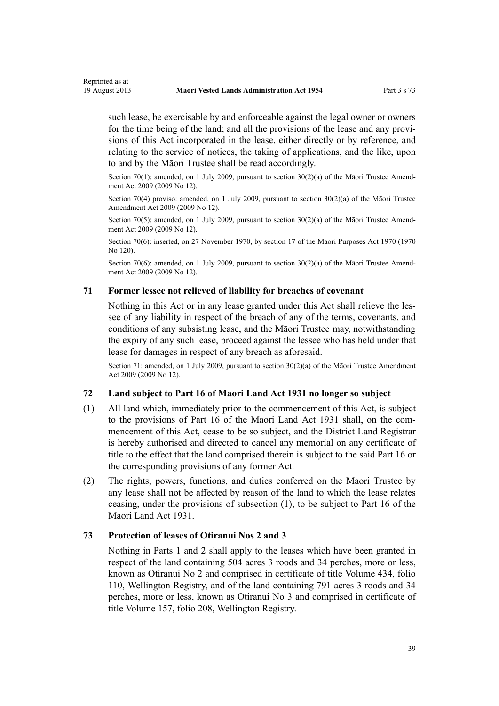<span id="page-38-0"></span>such lease, be exercisable by and enforceable against the legal owner or owners for the time being of the land; and all the provisions of the lease and any provisions of this Act incorporated in the lease, either directly or by reference, and relating to the service of notices, the taking of applications, and the like, upon to and by the Māori Trustee shall be read accordingly.

Section 70(1): amended, on 1 July 2009, pursuant to [section 30\(2\)\(a\)](http://prd-lgnz-nlb.prd.pco.net.nz/pdflink.aspx?id=DLM1583888) of the Māori Trustee Amendment Act 2009 (2009 No 12).

Section 70(4) proviso: amended, on 1 July 2009, pursuant to section  $30(2)(a)$  of the Maori Trustee Amendment Act 2009 (2009 No 12).

Section 70(5): amended, on 1 July 2009, pursuant to [section 30\(2\)\(a\)](http://prd-lgnz-nlb.prd.pco.net.nz/pdflink.aspx?id=DLM1583888) of the Maori Trustee Amendment Act 2009 (2009 No 12).

Section 70(6): inserted, on 27 November 1970, by [section 17](http://prd-lgnz-nlb.prd.pco.net.nz/pdflink.aspx?id=DLM396109) of the Maori Purposes Act 1970 (1970 No 120).

Section 70(6): amended, on 1 July 2009, pursuant to [section 30\(2\)\(a\)](http://prd-lgnz-nlb.prd.pco.net.nz/pdflink.aspx?id=DLM1583888) of the Māori Trustee Amendment Act 2009 (2009 No 12).

# **71 Former lessee not relieved of liability for breaches of covenant**

Nothing in this Act or in any lease granted under this Act shall relieve the lessee of any liability in respect of the breach of any of the terms, covenants, and conditions of any subsisting lease, and the Māori Trustee may, notwithstanding the expiry of any such lease, proceed against the lessee who has held under that lease for damages in respect of any breach as aforesaid.

Section 71: amended, on 1 July 2009, pursuant to [section 30\(2\)\(a\)](http://prd-lgnz-nlb.prd.pco.net.nz/pdflink.aspx?id=DLM1583888) of the Māori Trustee Amendment Act 2009 (2009 No 12).

# **72 Land subject to Part 16 of Maori Land Act 1931 no longer so subject**

- (1) All land which, immediately prior to the commencement of this Act, is subject to the provisions of Part 16 of the Maori Land Act 1931 shall, on the commencement of this Act, cease to be so subject, and the District Land Registrar is hereby authorised and directed to cancel any memorial on any certificate of title to the effect that the land comprised therein is subject to the said Part 16 or the corresponding provisions of any former Act.
- (2) The rights, powers, functions, and duties conferred on the Maori Trustee by any lease shall not be affected by reason of the land to which the lease relates ceasing, under the provisions of subsection (1), to be subject to Part 16 of the Maori Land Act 1931.

# **73 Protection of leases of Otiranui Nos 2 and 3**

Nothing in [Parts 1](#page-3-0) and [2](#page-7-0) shall apply to the leases which have been granted in respect of the land containing 504 acres 3 roods and 34 perches, more or less, known as Otiranui No 2 and comprised in certificate of title Volume 434, folio 110, Wellington Registry, and of the land containing 791 acres 3 roods and 34 perches, more or less, known as Otiranui No 3 and comprised in certificate of title Volume 157, folio 208, Wellington Registry.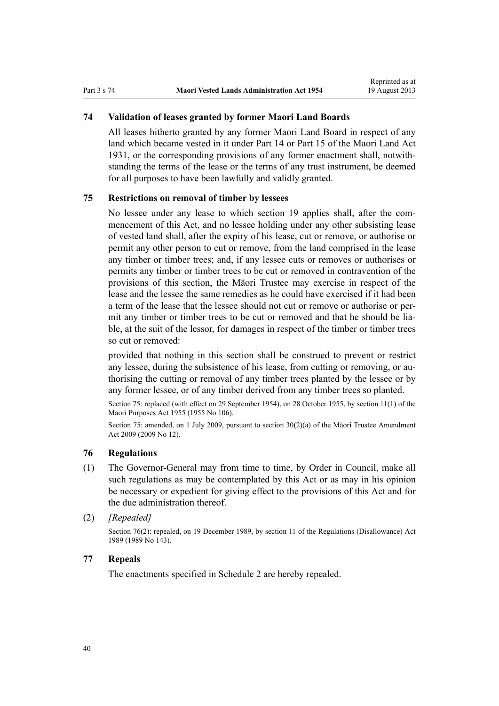# **74 Validation of leases granted by former Maori Land Boards**

All leases hitherto granted by any former Maori Land Board in respect of any land which became vested in it under Part 14 or Part 15 of the Maori Land Act 1931, or the corresponding provisions of any former enactment shall, notwithstanding the terms of the lease or the terms of any trust instrument, be deemed for all purposes to have been lawfully and validly granted.

# **75 Restrictions on removal of timber by lessees**

No lessee under any lease to which [section 19](#page-15-0) applies shall, after the commencement of this Act, and no lessee holding under any other subsisting lease of vested land shall, after the expiry of his lease, cut or remove, or authorise or permit any other person to cut or remove, from the land comprised in the lease any timber or timber trees; and, if any lessee cuts or removes or authorises or permits any timber or timber trees to be cut or removed in contravention of the provisions of this section, the Māori Trustee may exercise in respect of the lease and the lessee the same remedies as he could have exercised if it had been a term of the lease that the lessee should not cut or remove or authorise or permit any timber or timber trees to be cut or removed and that he should be liable, at the suit of the lessor, for damages in respect of the timber or timber trees so cut or removed:

provided that nothing in this section shall be construed to prevent or restrict any lessee, during the subsistence of his lease, from cutting or removing, or authorising the cutting or removal of any timber trees planted by the lessee or by any former lessee, or of any timber derived from any timber trees so planted.

Section 75: replaced (with effect on 29 September 1954), on 28 October 1955, by [section 11\(1\)](http://prd-lgnz-nlb.prd.pco.net.nz/pdflink.aspx?id=DLM293861) of the Maori Purposes Act 1955 (1955 No 106).

Section 75: amended, on 1 July 2009, pursuant to [section 30\(2\)\(a\)](http://prd-lgnz-nlb.prd.pco.net.nz/pdflink.aspx?id=DLM1583888) of the Māori Trustee Amendment Act 2009 (2009 No 12).

# **76 Regulations**

- (1) The Governor-General may from time to time, by Order in Council, make all such regulations as may be contemplated by this Act or as may in his opinion be necessary or expedient for giving effect to the provisions of this Act and for the due administration thereof.
- (2) *[Repealed]*

Section 76(2): repealed, on 19 December 1989, by [section 11](http://prd-lgnz-nlb.prd.pco.net.nz/pdflink.aspx?id=DLM195558) of the Regulations (Disallowance) Act 1989 (1989 No 143).

## **77 Repeals**

The enactments specified in [Schedule 2](#page-48-0) are hereby repealed.

<span id="page-39-0"></span>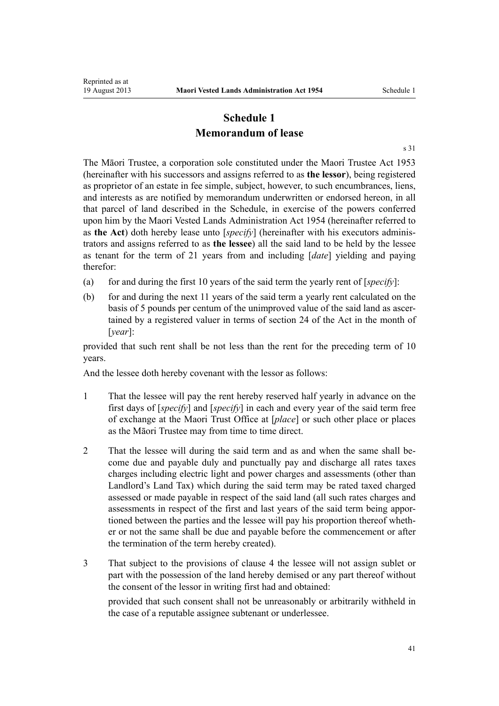# **Schedule 1 Memorandum of lease**

[s 31](#page-21-0)

<span id="page-40-0"></span>The Māori Trustee, a corporation sole constituted under the [Maori Trustee Act 1953](http://prd-lgnz-nlb.prd.pco.net.nz/pdflink.aspx?id=DLM282037) (hereinafter with his successors and assigns referred to as **the lessor**), being registered as proprietor of an estate in fee simple, subject, however, to such encumbrances, liens, and interests as are notified by memorandum underwritten or endorsed hereon, in all that parcel of land described in the Schedule, in exercise of the powers conferred upon him by the Maori Vested Lands Administration Act 1954 (hereinafter referred to as **the Act**) doth hereby lease unto [*specify*] (hereinafter with his executors administrators and assigns referred to as **the lessee**) all the said land to be held by the lessee as tenant for the term of 21 years from and including [*date*] yielding and paying therefor:

- (a) for and during the first 10 years of the said term the yearly rent of [*specify*]:
- (b) for and during the next 11 years of the said term a yearly rent calculated on the basis of 5 pounds per centum of the unimproved value of the said land as ascertained by a registered valuer in terms of [section 24](#page-17-0) of the Act in the month of [*year*]:

provided that such rent shall be not less than the rent for the preceding term of 10 years.

And the lessee doth hereby covenant with the lessor as follows:

- 1 That the lessee will pay the rent hereby reserved half yearly in advance on the first days of [*specify*] and [*specify*] in each and every year of the said term free of exchange at the Maori Trust Office at [*place*] or such other place or places as the Māori Trustee may from time to time direct.
- 2 That the lessee will during the said term and as and when the same shall become due and payable duly and punctually pay and discharge all rates taxes charges including electric light and power charges and assessments (other than Landlord's Land Tax) which during the said term may be rated taxed charged assessed or made payable in respect of the said land (all such rates charges and assessments in respect of the first and last years of the said term being apportioned between the parties and the lessee will pay his proportion thereof whether or not the same shall be due and payable before the commencement or after the termination of the term hereby created).
- 3 That subject to the provisions of clause 4 the lessee will not assign sublet or part with the possession of the land hereby demised or any part thereof without the consent of the lessor in writing first had and obtained:

provided that such consent shall not be unreasonably or arbitrarily withheld in the case of a reputable assignee subtenant or underlessee.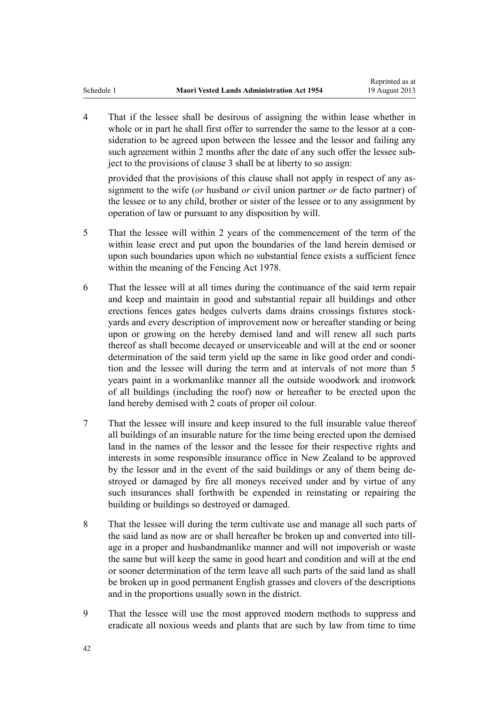4 That if the lessee shall be desirous of assigning the within lease whether in whole or in part he shall first offer to surrender the same to the lessor at a consideration to be agreed upon between the lessee and the lessor and failing any such agreement within 2 months after the date of any such offer the lessee subject to the provisions of clause 3 shall be at liberty to so assign:

provided that the provisions of this clause shall not apply in respect of any assignment to the wife (*or* husband *or* civil union partner *or* de facto partner) of the lessee or to any child, brother or sister of the lessee or to any assignment by operation of law or pursuant to any disposition by will.

- 5 That the lessee will within 2 years of the commencement of the term of the within lease erect and put upon the boundaries of the land herein demised or upon such boundaries upon which no substantial fence exists a sufficient fence within the meaning of the [Fencing Act 1978.](http://prd-lgnz-nlb.prd.pco.net.nz/pdflink.aspx?id=DLM21806)
- 6 That the lessee will at all times during the continuance of the said term repair and keep and maintain in good and substantial repair all buildings and other erections fences gates hedges culverts dams drains crossings fixtures stockyards and every description of improvement now or hereafter standing or being upon or growing on the hereby demised land and will renew all such parts thereof as shall become decayed or unserviceable and will at the end or sooner determination of the said term yield up the same in like good order and condition and the lessee will during the term and at intervals of not more than 5 years paint in a workmanlike manner all the outside woodwork and ironwork of all buildings (including the roof) now or hereafter to be erected upon the land hereby demised with 2 coats of proper oil colour.
- 7 That the lessee will insure and keep insured to the full insurable value thereof all buildings of an insurable nature for the time being erected upon the demised land in the names of the lessor and the lessee for their respective rights and interests in some responsible insurance office in New Zealand to be approved by the lessor and in the event of the said buildings or any of them being destroyed or damaged by fire all moneys received under and by virtue of any such insurances shall forthwith be expended in reinstating or repairing the building or buildings so destroyed or damaged.
- 8 That the lessee will during the term cultivate use and manage all such parts of the said land as now are or shall hereafter be broken up and converted into tillage in a proper and husbandmanlike manner and will not impoverish or waste the same but will keep the same in good heart and condition and will at the end or sooner determination of the term leave all such parts of the said land as shall be broken up in good permanent English grasses and clovers of the descriptions and in the proportions usually sown in the district.
- 9 That the lessee will use the most approved modern methods to suppress and eradicate all noxious weeds and plants that are such by law from time to time

42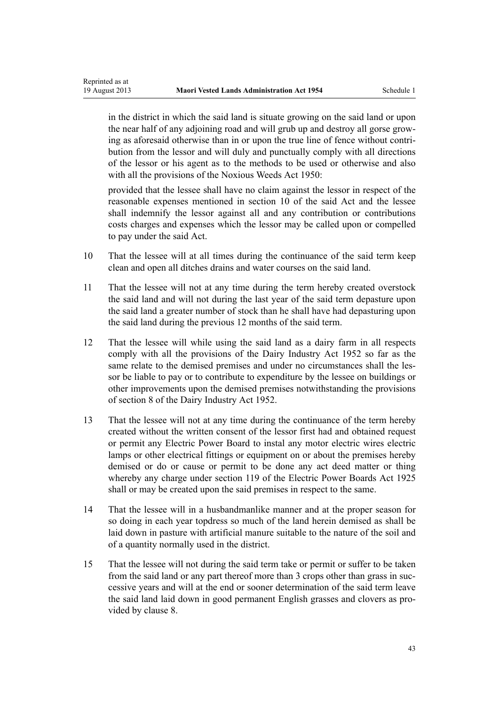in the district in which the said land is situate growing on the said land or upon the near half of any adjoining road and will grub up and destroy all gorse growing as aforesaid otherwise than in or upon the true line of fence without contribution from the lessor and will duly and punctually comply with all directions of the lessor or his agent as to the methods to be used or otherwise and also with all the provisions of the Noxious Weeds Act 1950:

provided that the lessee shall have no claim against the lessor in respect of the reasonable expenses mentioned in [section 10](#page-10-0) of the said Act and the lessee shall indemnify the lessor against all and any contribution or contributions costs charges and expenses which the lessor may be called upon or compelled to pay under the said Act.

- 10 That the lessee will at all times during the continuance of the said term keep clean and open all ditches drains and water courses on the said land.
- 11 That the lessee will not at any time during the term hereby created overstock the said land and will not during the last year of the said term depasture upon the said land a greater number of stock than he shall have had depasturing upon the said land during the previous 12 months of the said term.
- 12 That the lessee will while using the said land as a dairy farm in all respects comply with all the provisions of the Dairy Industry Act 1952 so far as the same relate to the demised premises and under no circumstances shall the lessor be liable to pay or to contribute to expenditure by the lessee on buildings or other improvements upon the demised premises notwithstanding the provisions of section 8 of the Dairy Industry Act 1952.
- 13 That the lessee will not at any time during the continuance of the term hereby created without the written consent of the lessor first had and obtained request or permit any Electric Power Board to instal any motor electric wires electric lamps or other electrical fittings or equipment on or about the premises hereby demised or do or cause or permit to be done any act deed matter or thing whereby any charge under section 119 of the Electric Power Boards Act 1925 shall or may be created upon the said premises in respect to the same.
- 14 That the lessee will in a husbandmanlike manner and at the proper season for so doing in each year topdress so much of the land herein demised as shall be laid down in pasture with artificial manure suitable to the nature of the soil and of a quantity normally used in the district.
- 15 That the lessee will not during the said term take or permit or suffer to be taken from the said land or any part thereof more than 3 crops other than grass in successive years and will at the end or sooner determination of the said term leave the said land laid down in good permanent English grasses and clovers as provided by clause 8.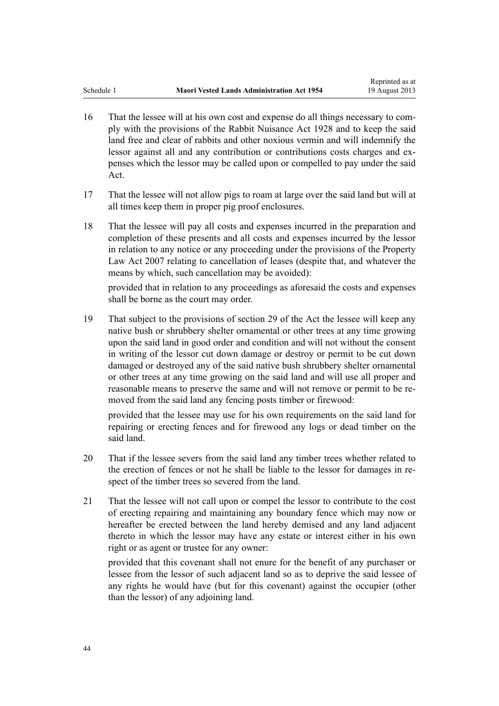- 16 That the lessee will at his own cost and expense do all things necessary to comply with the provisions of the Rabbit Nuisance Act 1928 and to keep the said land free and clear of rabbits and other noxious vermin and will indemnify the lessor against all and any contribution or contributions costs charges and expenses which the lessor may be called upon or compelled to pay under the said Act.
- 17 That the lessee will not allow pigs to roam at large over the said land but will at all times keep them in proper pig proof enclosures.
- 18 That the lessee will pay all costs and expenses incurred in the preparation and completion of these presents and all costs and expenses incurred by the lessor in relation to any notice or any proceeding under the provisions of the Property Law Act 2007 relating to cancellation of leases (despite that, and whatever the means by which, such cancellation may be avoided):

provided that in relation to any proceedings as aforesaid the costs and expenses shall be borne as the court may order.

19 That subject to the provisions of [section 29](#page-20-0) of the Act the lessee will keep any native bush or shrubbery shelter ornamental or other trees at any time growing upon the said land in good order and condition and will not without the consent in writing of the lessor cut down damage or destroy or permit to be cut down damaged or destroyed any of the said native bush shrubbery shelter ornamental or other trees at any time growing on the said land and will use all proper and reasonable means to preserve the same and will not remove or permit to be removed from the said land any fencing posts timber or firewood:

provided that the lessee may use for his own requirements on the said land for repairing or erecting fences and for firewood any logs or dead timber on the said land.

- 20 That if the lessee severs from the said land any timber trees whether related to the erection of fences or not he shall be liable to the lessor for damages in respect of the timber trees so severed from the land.
- 21 That the lessee will not call upon or compel the lessor to contribute to the cost of erecting repairing and maintaining any boundary fence which may now or hereafter be erected between the land hereby demised and any land adjacent thereto in which the lessor may have any estate or interest either in his own right or as agent or trustee for any owner:

provided that this covenant shall not enure for the benefit of any purchaser or lessee from the lessor of such adjacent land so as to deprive the said lessee of any rights he would have (but for this covenant) against the occupier (other than the lessor) of any adjoining land.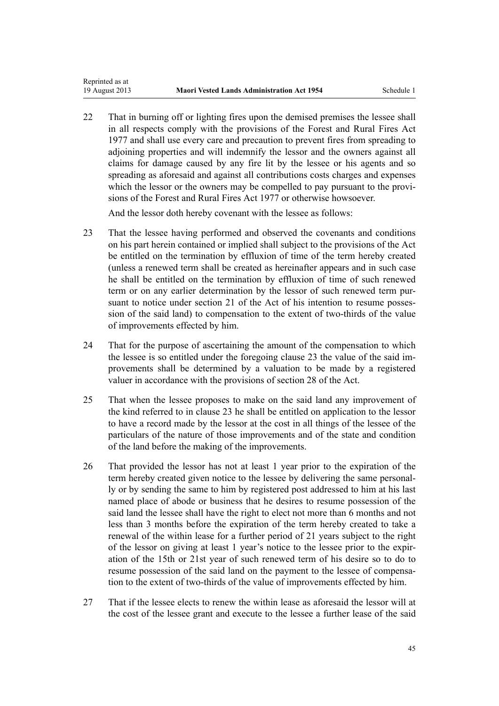22 That in burning off or lighting fires upon the demised premises the lessee shall in all respects comply with the provisions of the [Forest and Rural Fires Act](http://prd-lgnz-nlb.prd.pco.net.nz/pdflink.aspx?id=DLM442946) [1977](http://prd-lgnz-nlb.prd.pco.net.nz/pdflink.aspx?id=DLM442946) and shall use every care and precaution to prevent fires from spreading to adjoining properties and will indemnify the lessor and the owners against all claims for damage caused by any fire lit by the lessee or his agents and so spreading as aforesaid and against all contributions costs charges and expenses which the lessor or the owners may be compelled to pay pursuant to the provisions of the Forest and Rural Fires Act 1977 or otherwise howsoever.

And the lessor doth hereby covenant with the lessee as follows:

- 23 That the lessee having performed and observed the covenants and conditions on his part herein contained or implied shall subject to the provisions of the Act be entitled on the termination by effluxion of time of the term hereby created (unless a renewed term shall be created as hereinafter appears and in such case he shall be entitled on the termination by effluxion of time of such renewed term or on any earlier determination by the lessor of such renewed term pursuant to notice under [section 21](#page-16-0) of the Act of his intention to resume possession of the said land) to compensation to the extent of two-thirds of the value of improvements effected by him.
- 24 That for the purpose of ascertaining the amount of the compensation to which the lessee is so entitled under the foregoing clause 23 the value of the said improvements shall be determined by a valuation to be made by a registered valuer in accordance with the provisions of [section 28](#page-20-0) of the Act.
- 25 That when the lessee proposes to make on the said land any improvement of the kind referred to in clause 23 he shall be entitled on application to the lessor to have a record made by the lessor at the cost in all things of the lessee of the particulars of the nature of those improvements and of the state and condition of the land before the making of the improvements.
- 26 That provided the lessor has not at least 1 year prior to the expiration of the term hereby created given notice to the lessee by delivering the same personally or by sending the same to him by registered post addressed to him at his last named place of abode or business that he desires to resume possession of the said land the lessee shall have the right to elect not more than 6 months and not less than 3 months before the expiration of the term hereby created to take a renewal of the within lease for a further period of 21 years subject to the right of the lessor on giving at least 1 year's notice to the lessee prior to the expiration of the 15th or 21st year of such renewed term of his desire so to do to resume possession of the said land on the payment to the lessee of compensation to the extent of two-thirds of the value of improvements effected by him.
- 27 That if the lessee elects to renew the within lease as aforesaid the lessor will at the cost of the lessee grant and execute to the lessee a further lease of the said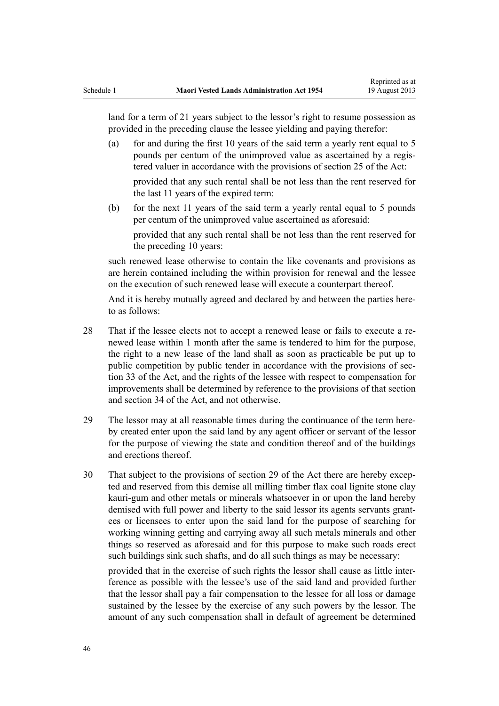land for a term of 21 years subject to the lessor's right to resume possession as provided in the preceding clause the lessee yielding and paying therefor:

- (a) for and during the first 10 years of the said term a yearly rent equal to 5 pounds per centum of the unimproved value as ascertained by a registered valuer in accordance with the provisions of [section 25](#page-18-0) of the Act: provided that any such rental shall be not less than the rent reserved for
- (b) for the next 11 years of the said term a yearly rental equal to 5 pounds per centum of the unimproved value ascertained as aforesaid: provided that any such rental shall be not less than the rent reserved for

the last 11 years of the expired term:

the preceding 10 years:

such renewed lease otherwise to contain the like covenants and provisions as are herein contained including the within provision for renewal and the lessee on the execution of such renewed lease will execute a counterpart thereof.

And it is hereby mutually agreed and declared by and between the parties hereto as follows:

- 28 That if the lessee elects not to accept a renewed lease or fails to execute a renewed lease within 1 month after the same is tendered to him for the purpose, the right to a new lease of the land shall as soon as practicable be put up to public competition by public tender in accordance with the provisions of section 33 of the Act, and the rights of the lessee with respect to compensation for improvements shall be determined by reference to the provisions of that section and [section 34](#page-24-0) of the Act, and not otherwise.
- 29 The lessor may at all reasonable times during the continuance of the term hereby created enter upon the said land by any agent officer or servant of the lessor for the purpose of viewing the state and condition thereof and of the buildings and erections thereof.
- 30 That subject to the provisions of [section 29](#page-20-0) of the Act there are hereby excepted and reserved from this demise all milling timber flax coal lignite stone clay kauri-gum and other metals or minerals whatsoever in or upon the land hereby demised with full power and liberty to the said lessor its agents servants grantees or licensees to enter upon the said land for the purpose of searching for working winning getting and carrying away all such metals minerals and other things so reserved as aforesaid and for this purpose to make such roads erect such buildings sink such shafts, and do all such things as may be necessary:

provided that in the exercise of such rights the lessor shall cause as little interference as possible with the lessee's use of the said land and provided further that the lessor shall pay a fair compensation to the lessee for all loss or damage sustained by the lessee by the exercise of any such powers by the lessor. The amount of any such compensation shall in default of agreement be determined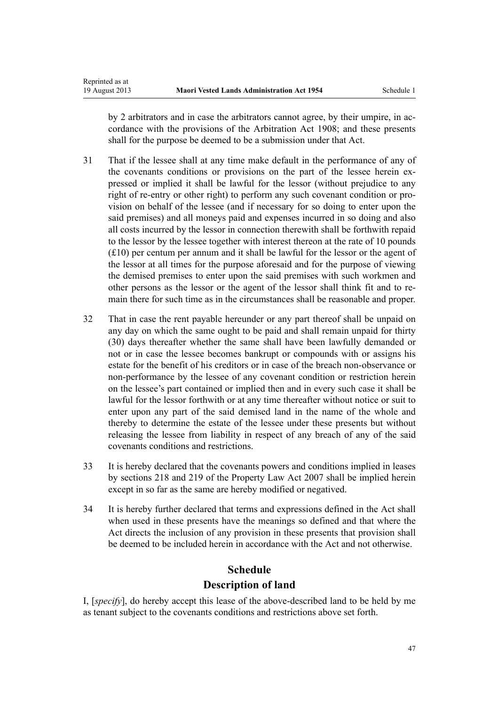Reprinted as at

by 2 arbitrators and in case the arbitrators cannot agree, by their umpire, in accordance with the provisions of the Arbitration Act 1908; and these presents shall for the purpose be deemed to be a submission under that Act.

- 31 That if the lessee shall at any time make default in the performance of any of the covenants conditions or provisions on the part of the lessee herein expressed or implied it shall be lawful for the lessor (without prejudice to any right of re-entry or other right) to perform any such covenant condition or provision on behalf of the lessee (and if necessary for so doing to enter upon the said premises) and all moneys paid and expenses incurred in so doing and also all costs incurred by the lessor in connection therewith shall be forthwith repaid to the lessor by the lessee together with interest thereon at the rate of 10 pounds (£10) per centum per annum and it shall be lawful for the lessor or the agent of the lessor at all times for the purpose aforesaid and for the purpose of viewing the demised premises to enter upon the said premises with such workmen and other persons as the lessor or the agent of the lessor shall think fit and to remain there for such time as in the circumstances shall be reasonable and proper.
- 32 That in case the rent payable hereunder or any part thereof shall be unpaid on any day on which the same ought to be paid and shall remain unpaid for thirty (30) days thereafter whether the same shall have been lawfully demanded or not or in case the lessee becomes bankrupt or compounds with or assigns his estate for the benefit of his creditors or in case of the breach non-observance or non-performance by the lessee of any covenant condition or restriction herein on the lessee's part contained or implied then and in every such case it shall be lawful for the lessor forthwith or at any time thereafter without notice or suit to enter upon any part of the said demised land in the name of the whole and thereby to determine the estate of the lessee under these presents but without releasing the lessee from liability in respect of any breach of any of the said covenants conditions and restrictions.
- 33 It is hereby declared that the covenants powers and conditions implied in leases by [sections 218](http://prd-lgnz-nlb.prd.pco.net.nz/pdflink.aspx?id=DLM969422) and [219](http://prd-lgnz-nlb.prd.pco.net.nz/pdflink.aspx?id=DLM969423) of the Property Law Act 2007 shall be implied herein except in so far as the same are hereby modified or negatived.
- 34 It is hereby further declared that terms and expressions defined in the Act shall when used in these presents have the meanings so defined and that where the Act directs the inclusion of any provision in these presents that provision shall be deemed to be included herein in accordance with the Act and not otherwise.

# **Schedule Description of land**

I, [*specify*], do hereby accept this lease of the above-described land to be held by me as tenant subject to the covenants conditions and restrictions above set forth.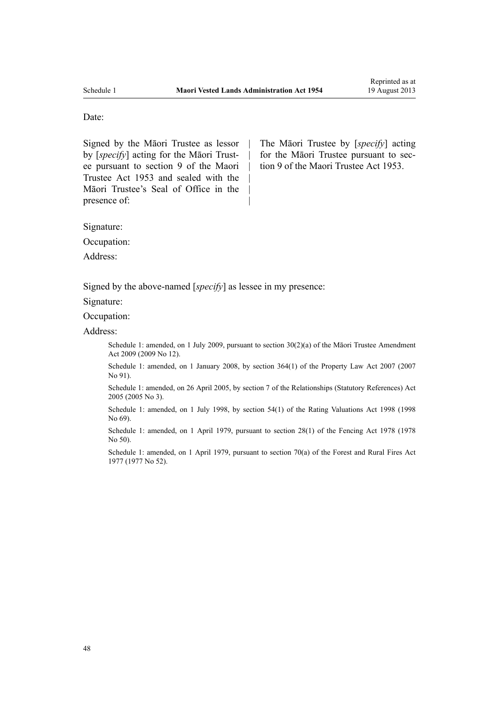| | | | | |

#### Date:

Signed by the Māori Trustee as lessor by [*specify*] acting for the Māori Trustee pursuant to section 9 of the Maori Trustee Act 1953 and sealed with the Māori Trustee's Seal of Office in the presence of:

The Māori Trustee by [*specify*] acting for the Māori Trustee pursuant to section 9 of the Maori Trustee Act 1953.

Signature:

Occupation:

Address:

Signed by the above-named [*specify*] as lessee in my presence:

Signature:

Occupation:

Address:

Schedule 1: amended, on 1 July 2009, pursuant to section  $30(2)(a)$  of the Māori Trustee Amendment Act 2009 (2009 No 12).

Schedule 1: amended, on 1 January 2008, by [section 364\(1\)](http://prd-lgnz-nlb.prd.pco.net.nz/pdflink.aspx?id=DLM969644) of the Property Law Act 2007 (2007 No 91).

Schedule 1: amended, on 26 April 2005, by [section 7](http://prd-lgnz-nlb.prd.pco.net.nz/pdflink.aspx?id=DLM333795) of the Relationships (Statutory References) Act 2005 (2005 No 3).

Schedule 1: amended, on 1 July 1998, by [section 54\(1\)](http://prd-lgnz-nlb.prd.pco.net.nz/pdflink.aspx?id=DLM427717) of the Rating Valuations Act 1998 (1998 No 69).

Schedule 1: amended, on 1 April 1979, pursuant to [section 28\(1\)](http://prd-lgnz-nlb.prd.pco.net.nz/pdflink.aspx?id=DLM21887) of the Fencing Act 1978 (1978) No 50).

Schedule 1: amended, on 1 April 1979, pursuant to [section 70\(a\)](http://prd-lgnz-nlb.prd.pco.net.nz/pdflink.aspx?id=DLM443632) of the Forest and Rural Fires Act 1977 (1977 No 52).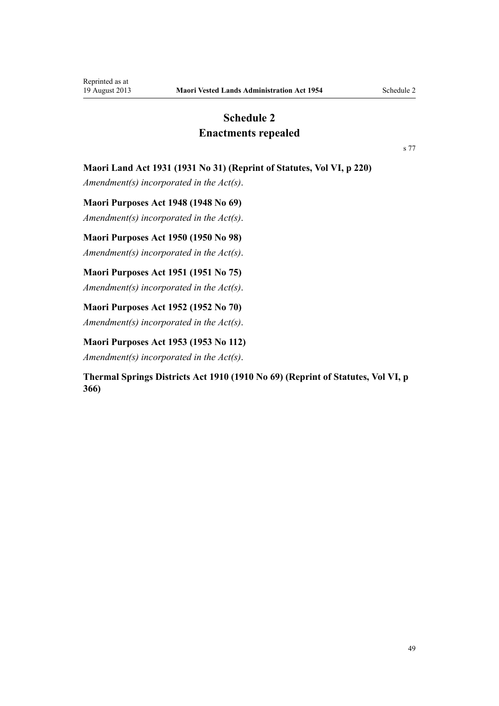# **Schedule 2 Enactments repealed**

[s 77](#page-39-0)

# <span id="page-48-0"></span>**Maori Land Act 1931 (1931 No 31) (Reprint of Statutes, Vol VI, p 220)**

*Amendment(s) incorporated in the Act(s)*.

**Maori Purposes Act 1948 (1948 No 69)**

*Amendment(s) incorporated in the [Act\(s\)](http://prd-lgnz-nlb.prd.pco.net.nz/pdflink.aspx?id=DLM254468)*.

**Maori Purposes Act 1950 (1950 No 98)**

*Amendment(s) incorporated in the Act(s)*.

**Maori Purposes Act 1951 (1951 No 75)**

*Amendment(s) incorporated in the [Act\(s\)](http://prd-lgnz-nlb.prd.pco.net.nz/pdflink.aspx?id=DLM264512)*.

**Maori Purposes Act 1952 (1952 No 70)** *Amendment(s) incorporated in the [Act\(s\)](http://prd-lgnz-nlb.prd.pco.net.nz/pdflink.aspx?id=DLM275633)*.

**Maori Purposes Act 1953 (1953 No 112)**

*Amendment(s) incorporated in the [Act\(s\)](http://prd-lgnz-nlb.prd.pco.net.nz/pdflink.aspx?id=DLM284302)*.

**Thermal Springs Districts Act 1910 (1910 No 69) (Reprint of Statutes, Vol VI, p 366)**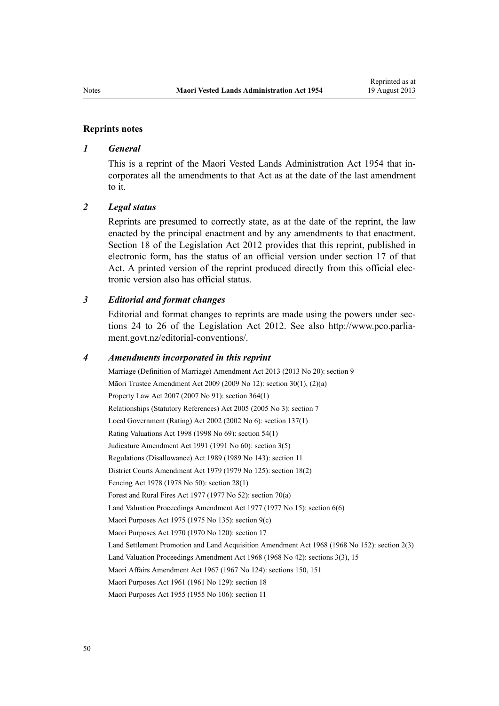#### **Reprints notes**

# *1 General*

This is a reprint of the Maori Vested Lands Administration Act 1954 that incorporates all the amendments to that Act as at the date of the last amendment to it.

# *2 Legal status*

Reprints are presumed to correctly state, as at the date of the reprint, the law enacted by the principal enactment and by any amendments to that enactment. [Section 18](http://prd-lgnz-nlb.prd.pco.net.nz/pdflink.aspx?id=DLM2998516) of the Legislation Act 2012 provides that this reprint, published in electronic form, has the status of an official version under [section 17](http://prd-lgnz-nlb.prd.pco.net.nz/pdflink.aspx?id=DLM2998515) of that Act. A printed version of the reprint produced directly from this official electronic version also has official status.

# *3 Editorial and format changes*

Editorial and format changes to reprints are made using the powers under [sec](http://prd-lgnz-nlb.prd.pco.net.nz/pdflink.aspx?id=DLM2998532)[tions 24 to 26](http://prd-lgnz-nlb.prd.pco.net.nz/pdflink.aspx?id=DLM2998532) of the Legislation Act 2012. See also [http://www.pco.parlia](http://www.pco.parliament.govt.nz/editorial-conventions/)[ment.govt.nz/editorial-conventions/](http://www.pco.parliament.govt.nz/editorial-conventions/).

#### *4 Amendments incorporated in this reprint*

Marriage (Definition of Marriage) Amendment Act 2013 (2013 No 20): [section 9](http://prd-lgnz-nlb.prd.pco.net.nz/pdflink.aspx?id=DLM5045103) Māori Trustee Amendment Act 2009 (2009 No 12): [section 30\(1\), \(2\)\(a\)](http://prd-lgnz-nlb.prd.pco.net.nz/pdflink.aspx?id=DLM1583888) Property Law Act 2007 (2007 No 91): [section 364\(1\)](http://prd-lgnz-nlb.prd.pco.net.nz/pdflink.aspx?id=DLM969644) Relationships (Statutory References) Act 2005 (2005 No 3): [section 7](http://prd-lgnz-nlb.prd.pco.net.nz/pdflink.aspx?id=DLM333795) Local Government (Rating) Act 2002 (2002 No 6): [section 137\(1\)](http://prd-lgnz-nlb.prd.pco.net.nz/pdflink.aspx?id=DLM133500) Rating Valuations Act 1998 (1998 No 69): [section 54\(1\)](http://prd-lgnz-nlb.prd.pco.net.nz/pdflink.aspx?id=DLM427717) Judicature Amendment Act 1991 (1991 No 60): [section 3\(5\)](http://prd-lgnz-nlb.prd.pco.net.nz/pdflink.aspx?id=DLM230219) Regulations (Disallowance) Act 1989 (1989 No 143): [section 11](http://prd-lgnz-nlb.prd.pco.net.nz/pdflink.aspx?id=DLM195558) District Courts Amendment Act 1979 (1979 No 125): [section 18\(2\)](http://prd-lgnz-nlb.prd.pco.net.nz/pdflink.aspx?id=DLM35085) Fencing Act 1978 (1978 No 50): [section 28\(1\)](http://prd-lgnz-nlb.prd.pco.net.nz/pdflink.aspx?id=DLM21887) Forest and Rural Fires Act 1977 (1977 No 52): [section 70\(a\)](http://prd-lgnz-nlb.prd.pco.net.nz/pdflink.aspx?id=DLM443632) Land Valuation Proceedings Amendment Act 1977 (1977 No 15): [section 6\(6\)](http://prd-lgnz-nlb.prd.pco.net.nz/pdflink.aspx?id=DLM442575) Maori Purposes Act 1975 (1975 No 135): [section 9\(c\)](http://prd-lgnz-nlb.prd.pco.net.nz/pdflink.aspx?id=DLM437759) Maori Purposes Act 1970 (1970 No 120): [section 17](http://prd-lgnz-nlb.prd.pco.net.nz/pdflink.aspx?id=DLM396109) Land Settlement Promotion and Land Acquisition Amendment Act 1968 (1968 No 152): section 2(3) Land Valuation Proceedings Amendment Act 1968 (1968 No 42): [sections 3\(3\),](http://prd-lgnz-nlb.prd.pco.net.nz/pdflink.aspx?id=DLM388233) [15](http://prd-lgnz-nlb.prd.pco.net.nz/pdflink.aspx?id=DLM388248) Maori Affairs Amendment Act 1967 (1967 No 124): sections 150, 151 Maori Purposes Act 1961 (1961 No 129): [section 18](http://prd-lgnz-nlb.prd.pco.net.nz/pdflink.aspx?id=DLM338481) Maori Purposes Act 1955 (1955 No 106): [section 11](http://prd-lgnz-nlb.prd.pco.net.nz/pdflink.aspx?id=DLM293861)